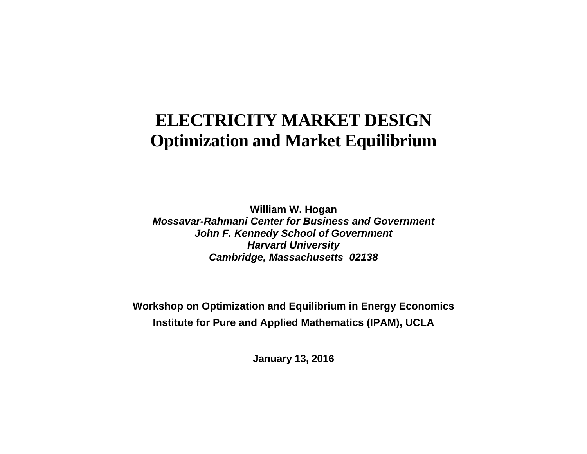# **ELECTRICITY MARKET DESIGN Optimization and Market Equilibrium**

**William W. Hogan**  *Mossavar-Rahmani Center for Business and Government John F. Kennedy School of Government Harvard University Cambridge, Massachusetts 02138*

**Workshop on Optimization and Equilibrium in Energy Economics Institute for Pure and Applied Mathematics (IPAM), UCLA** 

 **January 13, 2016**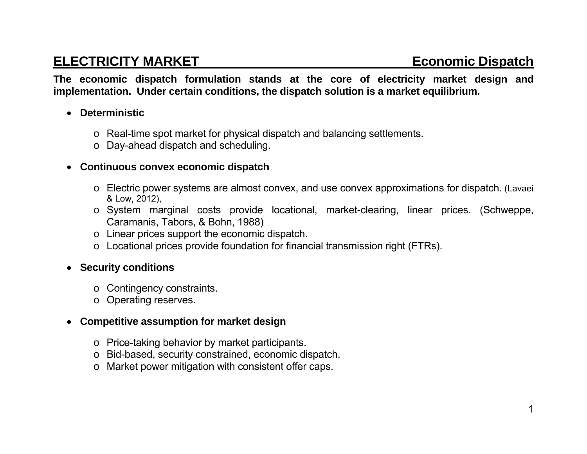## **ELECTRICITY MARKET ELECTRICITY MARKET**

**The economic dispatch formulation stands at the core of electricity market design and implementation. Under certain conditions, the dispatch solution is a market equilibrium.** 

### **Deterministic**

- <sup>o</sup> Real-time spot market for physical dispatch and balancing settlements.
- <sup>o</sup> Day-ahead dispatch and scheduling.

### **Continuous convex economic dispatch**

- <sup>o</sup> Electric power systems are almost convex, and use convex approximations for dispatch. (Lavaei & Low, 2012),
- <sup>o</sup> System marginal costs provide locational, market-clearing, linear prices. (Schweppe, Caramanis, Tabors, & Bohn, 1988)
- <sup>o</sup> Linear prices support the economic dispatch.
- <sup>o</sup> Locational prices provide foundation for financial transmission right (FTRs).

### **Security conditions**

- <sup>o</sup> Contingency constraints.
- <sup>o</sup> Operating reserves.

### **Competitive assumption for market design**

- <sup>o</sup> Price-taking behavior by market participants.
- <sup>o</sup> Bid-based, security constrained, economic dispatch.
- o Market power mitigation with consistent offer caps.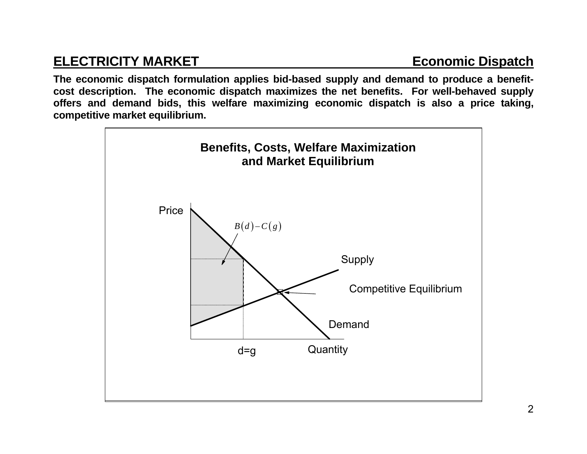## **ELECTRICITY MARKET** ECONOMIC Dispatch

**The economic dispatch formulation applies bid-based supply and demand to produce a benefitcost description. The economic dispatch maximizes the net benefits. For well-behaved supply offers and demand bids, this welfare maximizing economic dispatch is also a price taking, competitive market equilibrium.** 

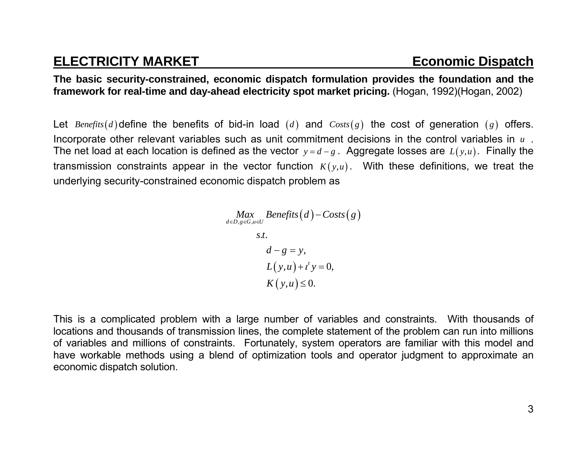## **ELECTRICITY MARKET** ELECTRICITY MARKET

**The basic security-constrained, economic dispatch formulation provides the foundation and the framework for real-time and day-ahead electricity spot market pricing.** (Hogan, 1992)(Hogan, 2002)

Let  $\mathit{Benefits}(d)$  define the benefits of bid-in load  $(d)$  and  $\mathit{Costs}(g)$  the cost of generation  $(g)$  offers. Incorporate other relevant variables such as unit commitment decisions in the control variables in *u* . The net load at each location is defined as the vector  $y = d-g$  . Aggregate losses are  $L(y, u)$ . Finally the transmission constraints appear in the vector function  $K(y,u)$ . With these definitions, we treat the underlying security-constrained economic dispatch problem as

$$
\begin{aligned}\nMax & \underset{d \in D, g \in G, u \in U}{\text{Benefits}} \left(d\right) - \text{Costs}\left(g\right) \\
s.t. & \quad d - g = y, \\
& \quad L\left(y, u\right) + t^t y = 0, \\
& K\left(y, u\right) \le 0.\n\end{aligned}
$$

This is a complicated problem with a large number of variables and constraints. With thousands of locations and thousands of transmission lines, the complete statement of the problem can run into millions of variables and millions of constraints. Fortunately, system operators are familiar with this model and have workable methods using a blend of optimization tools and operator judgment to approximate an economic dispatch solution.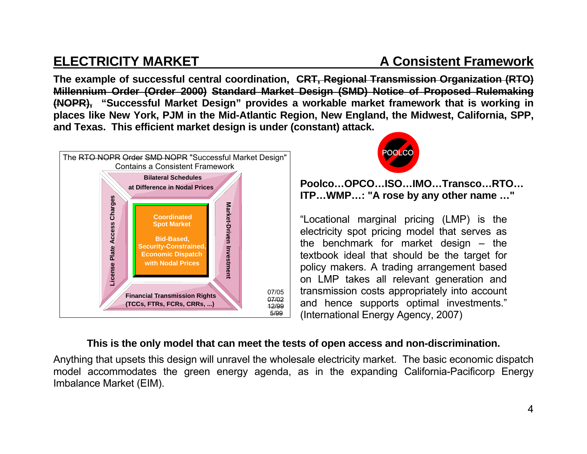## **ELECTRICITY MARKET A Consistent Framework**

**The example of successful central coordination, CRT, Regional Transmission Organization (RTO) Millennium Order (Order 2000) Standard Market Design (SMD) Notice of Proposed Rulemaking (NOPR), "Successful Market Design" provides a workable market framework that is working in places like New York, PJM in the Mid-Atlantic Region, New England, the Midwest, California, SPP, and Texas. This efficient market design is under (constant) attack.**





**Poolco…OPCO…ISO…IMO…Transco…RTO… ITP…WMP…: "A rose by any other name …"** 

"Locational marginal pricing (LMP) is the electricity spot pricing model that serves as the benchmark for market design – the textbook ideal that should be the target for policy makers. A trading arrangement based on LMP takes all relevant generation and transmission costs appropriately into account and hence supports optimal investments." (International Energy Agency, 2007)

### **This is the only model that can meet the tests of open access and non-discrimination.**

Anything that upsets this design will unravel the wholesale electricity market. The basic economic dispatch model accommodates the green energy agenda, as in the expanding California-Pacificorp Energy Imbalance Market (EIM).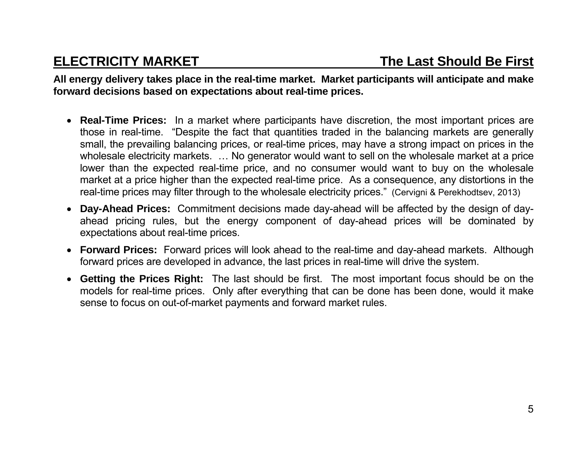**All energy delivery takes place in the real-time market. Market participants will anticipate and make forward decisions based on expectations about real-time prices.** 

- **Real-Time Prices:** In a market where participants have discretion, the most important prices are those in real-time. "Despite the fact that quantities traded in the balancing markets are generally small, the prevailing balancing prices, or real-time prices, may have a strong impact on prices in the wholesale electricity markets. ... No generator would want to sell on the wholesale market at a price lower than the expected real-time price, and no consumer would want to buy on the wholesale market at a price higher than the expected real-time price. As a consequence, any distortions in the real-time prices may filter through to the wholesale electricity prices." (Cervigni & Perekhodtsev, 2013)
- **Day-Ahead Prices:** Commitment decisions made day-ahead will be affected by the design of dayahead pricing rules, but the energy component of day-ahead prices will be dominated by expectations about real-time prices.
- **Forward Prices:** Forward prices will look ahead to the real-time and day-ahead markets. Although forward prices are developed in advance, the last prices in real-time will drive the system.
- **Getting the Prices Right:** The last should be first. The most important focus should be on the models for real-time prices. Only after everything that can be done has been done, would it make sense to focus on out-of-market payments and forward market rules.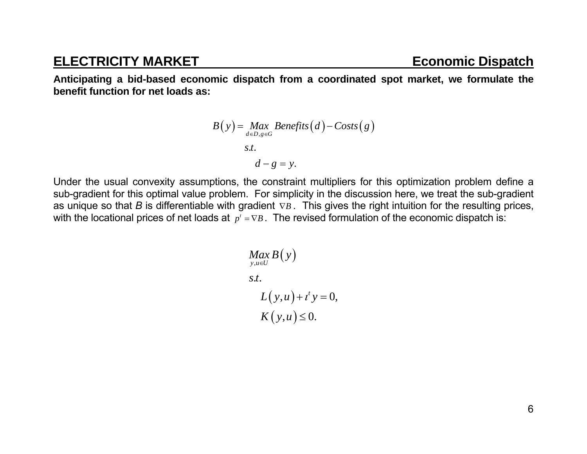## **ELECTRICITY MARKET** ECONOMIC Dispatch

**Anticipating a bid-based economic dispatch from a coordinated spot market, we formulate the benefit function for net loads as:** 

$$
B(y) = \underset{d \in D, g \in G}{Max} \text{Benefits}(d) - \text{Costs}(g)
$$
\n
$$
s.t.
$$
\n
$$
d - g = y.
$$

Under the usual convexity assumptions, the constraint multipliers for this optimization problem define a sub-gradient for this optimal value problem. For simplicity in the discussion here, we treat the sub-gradient as unique so that B is differentiable with gradient  $\nabla B$ . This gives the right intuition for the resulting prices, with the locational prices of net loads at  $p^t = \nabla B$ . The revised formulation of the economic dispatch is:

$$
Max_{y,u\in U} B(y)
$$
  
s.t.  

$$
L(y,u) + t' y = 0,
$$
  

$$
K(y,u) \le 0.
$$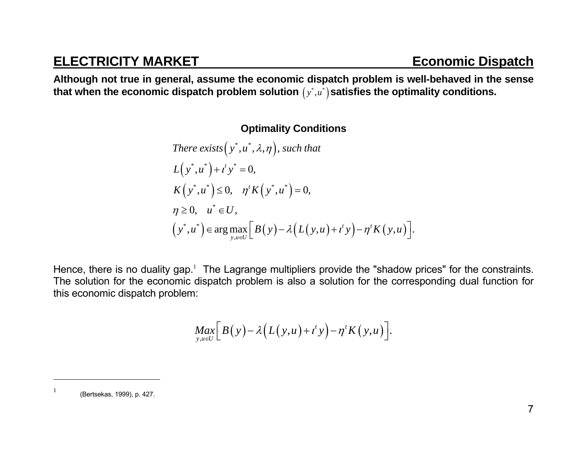## **ELECTRICITY MARKET** ECONOMIC Dispatch

**Although not true in general, assume the economic dispatch problem is well-behaved in the sense**  that when the economic dispatch problem solution  $\left( y^{\ast},u^{\ast}\right)$ satisfies the optimality conditions.

### **Optimality Conditions**

There exists 
$$
(y^*, u^*, \lambda, \eta)
$$
, such that  
\n
$$
L(y^*, u^*) + t^t y^* = 0,
$$
\n
$$
K(y^*, u^*) \le 0, \quad \eta^t K(y^*, u^*) = 0,
$$
\n
$$
\eta \ge 0, \quad u^* \in U,
$$
\n
$$
(y^*, u^*) \in \arg \max_{y, u \in U} [B(y) - \lambda (L(y, u) + t^t y) - \eta^t K(y, u)].
$$

Hence, there is no duality gap.<sup>1</sup> The Lagrange multipliers provide the "shadow prices" for the constraints. The solution for the economic dispatch problem is also a solution for the corresponding dual function for this economic dispatch problem:

$$
\underset{y,u\in U}{Max}\Big[B(y)-\lambda\big(L(y,u)+t^t y\big)-\eta^t K(y,u)\Big].
$$

 $1$  (Bertsekas, 1999), p. 427.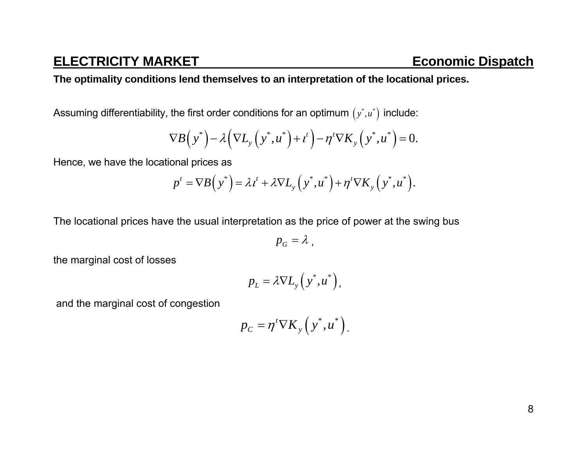### **The optimality conditions lend themselves to an interpretation of the locational prices.**

Assuming differentiability, the first order conditions for an optimum  $(y^*, u^*)$  include:

$$
\nabla B\Big(\,y^*\Big)-\lambda\Big(\nabla L_y\Big(\,y^*,u^*\Big)+t^t\Big)-\eta^t\nabla K_y\Big(\,y^*,u^*\Big)=0.
$$

Hence, we have the locational prices as

$$
p^t = \nabla B\left(y^*\right) = \lambda t^t + \lambda \nabla L_y\left(y^*, u^*\right) + \eta^t \nabla K_y\left(y^*, u^*\right).
$$

The locational prices have the usual interpretation as the price of power at the swing bus

 $p_G = \lambda$ ,

the marginal cost of losses

$$
p_L = \lambda \nabla L_{y} (y^*, u^*),
$$

and the marginal cost of congestion

$$
p_C = \eta^t \nabla K_y \left( y^*, u^* \right).
$$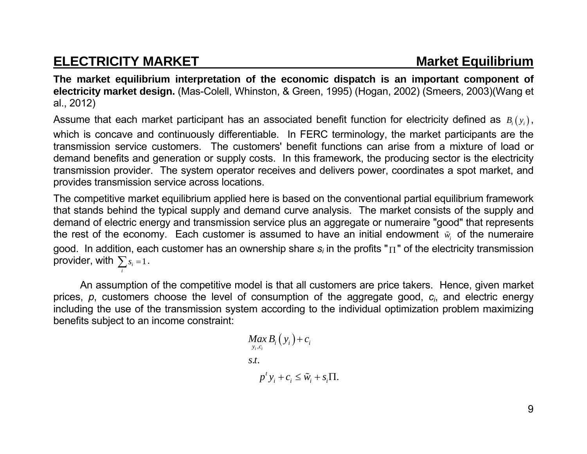## **ELECTRICITY MARKET MARKET** Market Equilibrium

**The market equilibrium interpretation of the economic dispatch is an important component of electricity market design.** (Mas-Colell, Whinston, & Green, 1995) (Hogan, 2002) (Smeers, 2003)(Wang et al., 2012)

Assume that each market participant has an associated benefit function for electricity defined as  $B_i(y_i)$ , which is concave and continuously differentiable. In FERC terminology, the market participants are the transmission service customers. The customers' benefit functions can arise from a mixture of load or demand benefits and generation or supply costs. In this framework, the producing sector is the electricity transmission provider. The system operator receives and delivers power, coordinates a spot market, and provides transmission service across locations.

The competitive market equilibrium applied here is based on the conventional partial equilibrium framework that stands behind the typical supply and demand curve analysis. The market consists of the supply and demand of electric energy and transmission service plus an aggregate or numeraire "good" that represents the rest of the economy. Each customer is assumed to have an initial endowment  $\tilde{w}_i$  of the numeraire good. In addition, each customer has an ownership share *si* in the profits " " of the electricity transmission provider, with  $\sum s_i = 1$ . *i*

 An assumption of the competitive model is that all customers are price takers. Hence, given market prices, *p*, customers choose the level of consumption of the aggregate good, *ci*, and electric energy including the use of the transmission system according to the individual optimization problem maximizing benefits subject to an income constraint:

$$
Max_{y_i, c_i} B_i(y_i) + c_i
$$
  
s.t.  

$$
p^t y_i + c_i \leq \tilde{w}_i + s_i \Pi
$$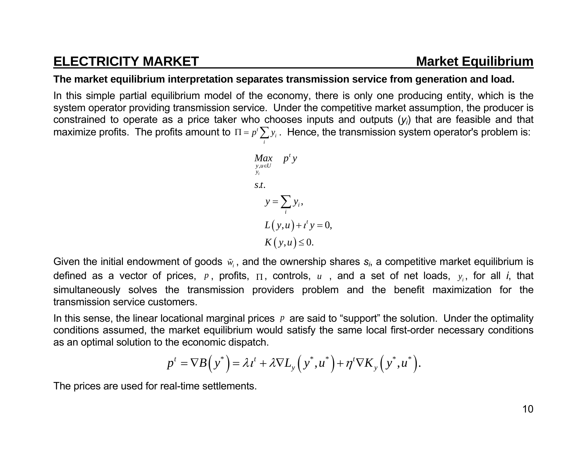## **ELECTRICITY MARKET MARKET** Market Equilibrium

### **The market equilibrium interpretation separates transmission service from generation and load.**

In this simple partial equilibrium model of the economy, there is only one producing entity, which is the system operator providing transmission service. Under the competitive market assumption, the producer is constrained to operate as a price taker who chooses inputs and outputs ( *yi*) that are feasible and that maximize profits. The profits amount to  $\Pi$  =  $p$ <sup>,</sup>  $\sum y_i$  . Hence, the transmission system operator's problem is: *i*

$$
\begin{aligned}\n\max_{\substack{y,u \in U \\ y_i}} \quad p^t y \\
\text{s.t.} \\
y &= \sum_i y_i, \\
L(y,u) + t^t y &= 0, \\
K(y,u) &\leq 0.\n\end{aligned}
$$

Given the initial endowment of goods  $\tilde{w}_i$ , and the ownership shares  $\mathbf{s}_i$ , a competitive market equilibrium is defined as a vector of prices,  $p$ , profits,  $\Pi$ , controls,  $u$  , and a set of net loads,  $y_i$ , for all *i*, that simultaneously solves the transmission providers problem and the benefit maximization for the transmission service customers.

In this sense, the linear locational marginal prices *<sup>p</sup>* are said to "support" the solution. Under the optimality conditions assumed, the market equilibrium would satisfy the same local first-order necessary conditions as an optimal solution to the economic dispatch.

$$
p^t = \nabla B\left(y^*\right) = \lambda t^t + \lambda \nabla L_y\left(y^*, u^*\right) + \eta^t \nabla K_y\left(y^*, u^*\right).
$$

The prices are used for real-time settlements.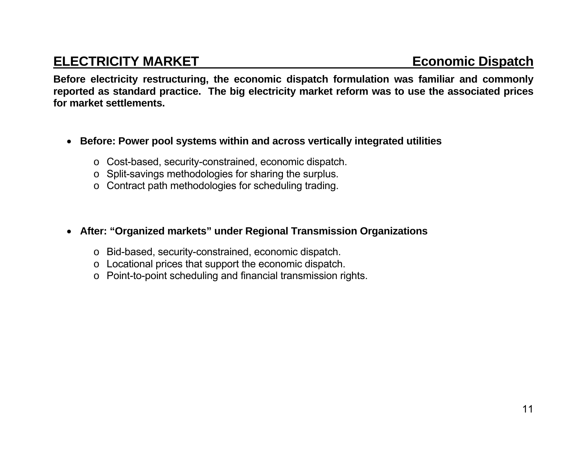## **ELECTRICITY MARKET ELECTRICITY MARKET**

**Before electricity restructuring, the economic dispatch formulation was familiar and commonly reported as standard practice. The big electricity market reform was to use the associated prices for market settlements.** 

- **Before: Power pool systems within and across vertically integrated utilities** 
	- <sup>o</sup> Cost-based, security-constrained, economic dispatch.
	- <sup>o</sup> Split-savings methodologies for sharing the surplus.
	- <sup>o</sup> Contract path methodologies for scheduling trading.
- **After: "Organized markets" under Regional Transmission Organizations** 
	- <sup>o</sup> Bid-based, security-constrained, economic dispatch.
	- <sup>o</sup> Locational prices that support the economic dispatch.
	- o Point-to-point scheduling and financial transmission rights.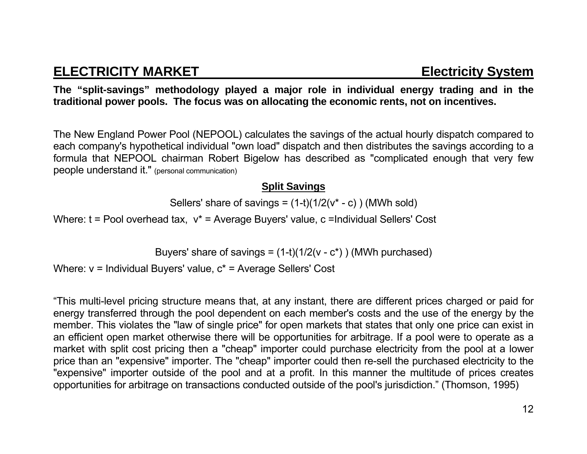**The "split-savings" methodology played a major role in individual energy trading and in the traditional power pools. The focus was on allocating the economic rents, not on incentives.** 

The New England Power Pool (NEPOOL) calculates the savings of the actual hourly dispatch compared to each company's hypothetical individual "own load" dispatch and then distributes the savings according to a formula that NEPOOL chairman Robert Bigelow has described as "complicated enough that very few people understand it." (personal communication)

### **Split Savings**

Sellers' share of savings =  $(1-t)(1/2(v^* - c))$  (MWh sold)

Where: t = Pool overhead tax, v<sup>\*</sup> = Average Buyers' value, c = Individual Sellers' Cost

Buyers' share of savings =  $(1-t)(1/2(v - c^*))$  (MWh purchased)

Where: v = Individual Buyers' value, c\* = Average Sellers' Cost

"This multi-level pricing structure means that, at any instant, there are different prices charged or paid for energy transferred through the pool dependent on each member's costs and the use of the energy by the member. This violates the "law of single price" for open markets that states that only one price can exist in an efficient open market otherwise there will be opportunities for arbitrage. If a pool were to operate as a market with split cost pricing then a "cheap" importer could purchase electricity from the pool at a lower price than an "expensive" importer. The "cheap" importer could then re-sell the purchased electricity to the "expensive" importer outside of the pool and at a profit. In this manner the multitude of prices creates opportunities for arbitrage on transactions conducted outside of the pool's jurisdiction." (Thomson, 1995)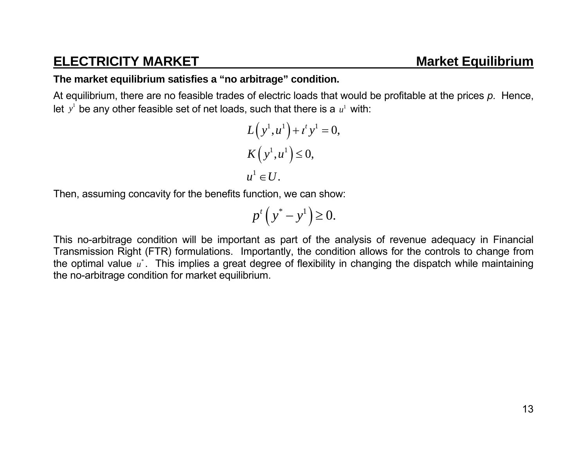## **ELECTRICITY MARKET MARKET Market Equilibrium**

### **The market equilibrium satisfies a "no arbitrage" condition.**

At equilibrium, there are no feasible trades of electric loads that would be profitable at the prices *p*. Hence, let  $y^1$  be any other feasible set of net loads, such that there is a  $u^1$  with:

$$
L(y1, u1) + tt y1 = 0,
$$
  
\n
$$
K(y1, u1) \le 0,
$$
  
\n
$$
u1 \in U.
$$

Then, assuming concavity for the benefits function, we can show:

$$
p^t\left(y^* - y^1\right) \ge 0.
$$

This no-arbitrage condition will be important as part of the analysis of revenue adequacy in Financial Transmission Right (FTR) formulations. Importantly, the condition allows for the controls to change from the optimal value  $u^*$ . This implies a great degree of flexibility in changing the dispatch while maintaining the no-arbitrage condition for market equilibrium.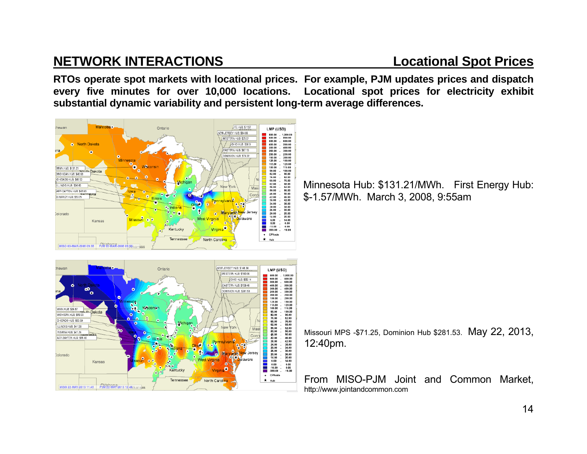## **NETWORK INTERACTIONS Locational Spot Prices**

**RTOs operate spot markets with locational prices. For example, PJM updates prices and dispatch every five minutes for over 10,000 locations. Locational spot prices for electricity exhibit substantial dynamic variability and persistent long-term average differences.** 



NEW JERSEY HUB: \$148.38 Ontario LMP (USD) WESTERN HUR: \$183.06 800.00<br>600.00<br>500.00 1,000.00<br>800.00<br>600.00 OHIO HUB: \$55.14 FASTERN HUR: \$159.48 400.00<br>300.00  $\begin{array}{c} 500.00 \\ 400.00 \\ 250.00 \\ 250.00 \\ 150.00 \\ 150.00 \\ 150.00 \\ 150.00 \\ 150.00 \\ 250.00 \\ 82.00 \\ 76.00 \\ 62.00 \\ 46.00 \\ 38.00 \\ 26.00 \\ 26.00 \\ 26.00 \\ 26.00 \\ 26.00 \\ 26.00 \\ 26.00 \\ 26.00 \\ 26.00 \\ 26.00 \\ 26.00 \\ 26.00 \\ 26.00 \\ 26.00 \\$ OMINION HUB: \$281.53  $250.00$ <br> $200.00$ <br> $150.00$ <br> $125.00$ <br> $15.00$ <br> $115.00$ <br> $90.00$ <br> $82.00$ <br> $76.00$ <br> $68.00$ <br> $62.00$ **Dakota** MICHIGAN.HUB: \$43.33 CHICAGO HUB: \$53.59 LINOIS HUR: \$41.56  $\begin{array}{c} 56.00 \\ 50.00 \\ 46.00 \\ 42.00 \\ 38.00 \\ 34.00 \\ 36.00 \\ 26.00 \\ 26.00 \\ 44.00 \\ 40.0 \\ -10.00 \\ -999.00 \end{array}$  $M$ asi INDIANA HUB: \$41.24 AEP-DAYTON HUB: \$55.02 ersev cherano. i<br>D Kansas Kentucky + CPNode  $\star$  Hub Tennessee North Carolina MISO 22-MAY-2013 11:45 POM 22-WAP-2013 12:40 (Kansas

Minnesota Hub: \$131.21/MWh. First Energy Hub: \$-1.57/MWh. March 3, 2008, 9:55am

Missouri MPS -\$71.25, Dominion Hub \$281.53. May 22, 2013, 12:40pm.

From MISO-PJM Joint and Common Market, http://www.jointandcommon.com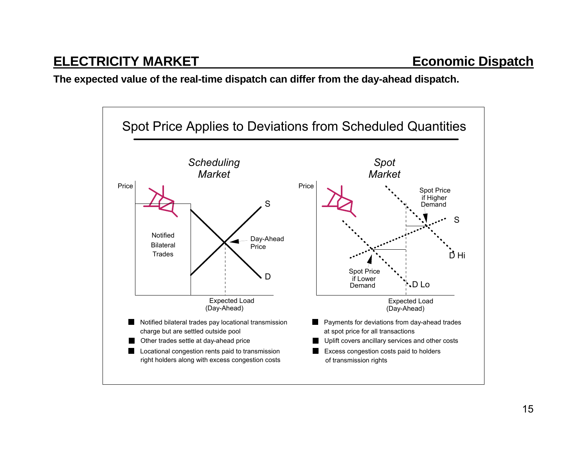**The expected value of the real-time dispatch can differ from the day-ahead dispatch.** 

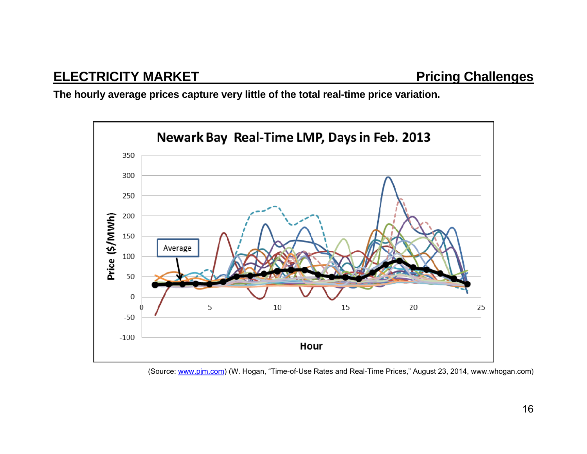**The hourly average prices capture very little of the total real-time price variation.** 



(Source: www.pjm.com) (W. Hogan, "Time-of-Use Rates and Real-Time Prices," August 23, 2014, www.whogan.com)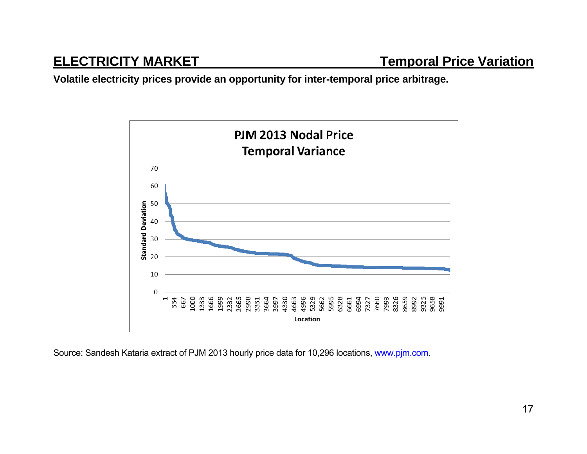**Volatile electricity prices provide an opportunity for inter-temporal price arbitrage.** 



Source: Sandesh Kataria extract of PJM 2013 hourly price data for 10,296 locations, www.pjm.com.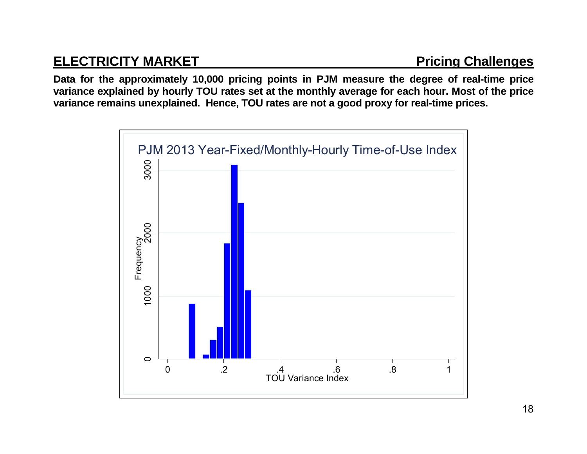## **ELECTRICITY MARKET Pricing Challenges**

**Data for the approximately 10,000 pricing points in PJM measure the degree of real-time price variance explained by hourly TOU rates set at the monthly average for each hour. Most of the price variance remains unexplained. Hence, TOU rates are not a good proxy for real-time prices.**

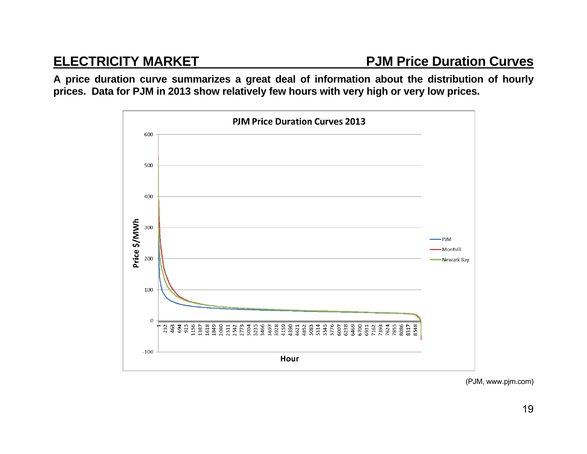**A price duration curve summarizes a great deal of information about the distribution of hourly prices. Data for PJM in 2013 show relatively few hours with very high or very low prices.** 



(PJM, www.pjm.com)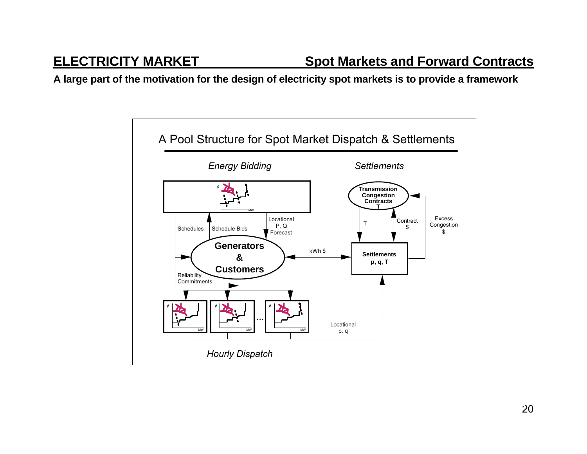**A large part of the motivation for the design of electricity spot markets is to provide a framework** 

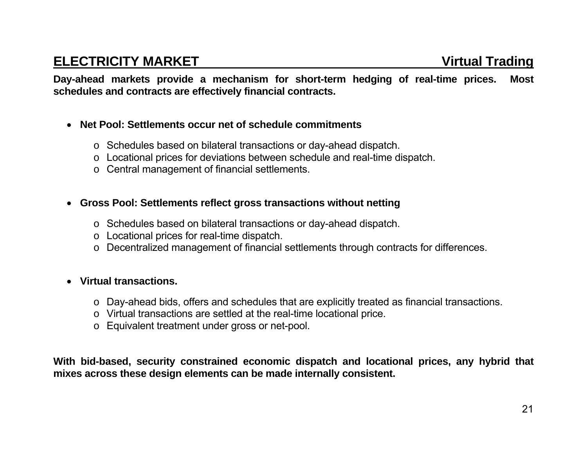**Day-ahead markets provide a mechanism for short-term hedging of real-time prices. Most schedules and contracts are effectively financial contracts.** 

- **Net Pool: Settlements occur net of schedule commitments** 
	- <sup>o</sup> Schedules based on bilateral transactions or day-ahead dispatch.
	- <sup>o</sup> Locational prices for deviations between schedule and real-time dispatch.
	- <sup>o</sup> Central management of financial settlements.
- **Gross Pool: Settlements reflect gross transactions without netting** 
	- <sup>o</sup> Schedules based on bilateral transactions or day-ahead dispatch.
	- <sup>o</sup> Locational prices for real-time dispatch.
	- <sup>o</sup> Decentralized management of financial settlements through contracts for differences.
- **Virtual transactions.** 
	- <sup>o</sup> Day-ahead bids, offers and schedules that are explicitly treated as financial transactions.
	- <sup>o</sup> Virtual transactions are settled at the real-time locational price.
	- <sup>o</sup> Equivalent treatment under gross or net-pool.

**With bid-based, security constrained economic dispatch and locational prices, any hybrid that mixes across these design elements can be made internally consistent.**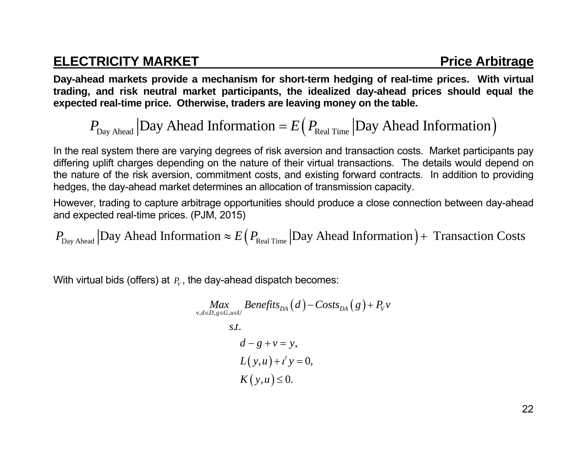## **ELECTRICITY MARKET Price Arbitrage Arbitrage Arbitrage Arbitrage Arbitrage Arbitrage Arbitrage Arbitrage Arbitrage Arbitrage Arbitrage Arbitrage Arbitrage Arbitrage Arbitrage Arbitrage Arbitrage Arbitrage Arbitrage Arbitr**

**Day-ahead markets provide a mechanism for short-term hedging of real-time prices. With virtual trading, and risk neutral market participants, the idealized day-ahead prices should equal the expected real-time price. Otherwise, traders are leaving money on the table.** 

$$
P_{\text{Day Ahead}}
$$
 |Day Ahead Information =  $E(P_{\text{Real Time}} | \text{Day Ahead Information})$ 

In the real system there are varying degrees of risk aversion and transaction costs. Market participants pay differing uplift charges depending on the nature of their virtual transactions. The details would depend on the nature of the risk aversion, commitment costs, and existing forward contracts. In addition to providing hedges, the day-ahead market determines an allocation of transmission capacity.

However, trading to capture arbitrage opportunities should produce a close connection between day-ahead and expected real-time prices. (PJM, 2015)

 $P_{\text{Day Ahead}} |$ Day Ahead Information  $\approx E(P_{\text{Real Time}} |$ Day Ahead Information)+ Transaction Costs

With virtual bids (offers) at  $P_V$ , the day-ahead dispatch becomes:

$$
\begin{aligned}\nMax_{v,d \in D, g \in G, u \in U} \text{Benefits}_{DA}(d) - \text{Costs}_{DA}(g) + P_v v \\
\text{s.t.} \\
d - g + v &= y, \\
L(y, u) + t' y &= 0, \\
K(y, u) &\le 0.\n\end{aligned}
$$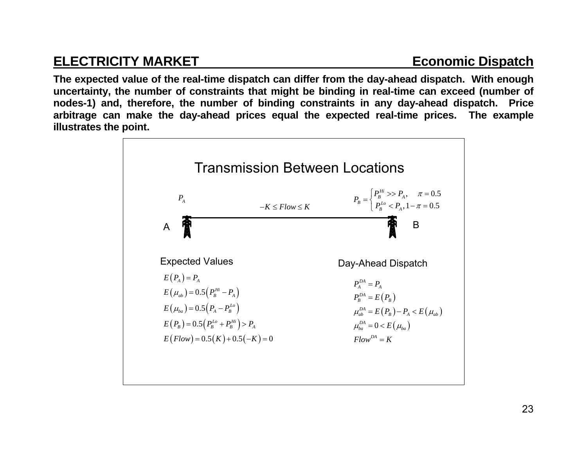## **ELECTRICITY MARKET** ELECTRICITY MARKET

**The expected value of the real-time dispatch can differ from the day-ahead dispatch. With enough uncertainty, the number of constraints that might be binding in real-time can exceed (number of nodes-1) and, therefore, the number of binding constraints in any day-ahead dispatch. Price arbitrage can make the day-ahead prices equal the expected real-time prices. The example illustrates the point.** 

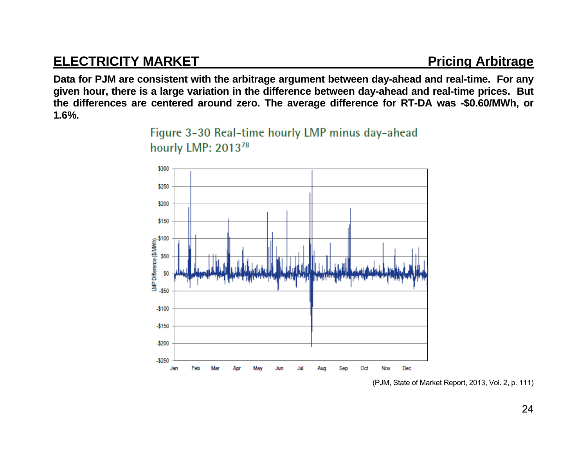## **ELECTRICITY MARKET Pricing Arbitrage**

**Data for PJM are consistent with the arbitrage argument between day-ahead and real-time. For any given hour, there is a large variation in the difference between day-ahead and real-time prices. But the differences are centered around zero. The average difference for RT-DA was -\$0.60/MWh, or 1.6%.** 





(PJM, State of Market Report, 2013, Vol. 2, p. 111)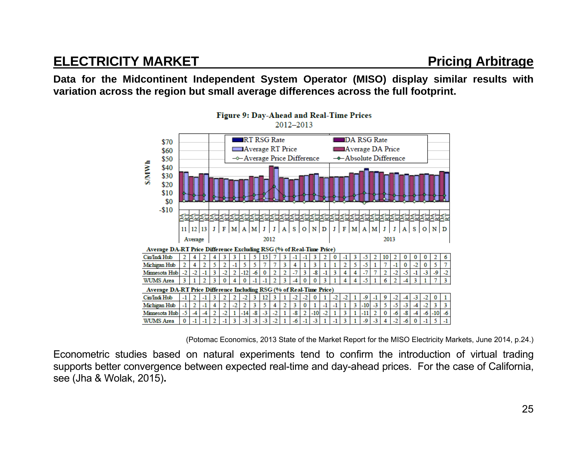## **ELECTRICITY MARKET PRICISE ARE ARRIVED A PRICISE ARRIVED A PRICISE ARRIVED A PRICISE AND ARRIVED AND ARRIVED A**

**Data for the Midcontinent Independent System Operator (MISO) display similar results with variation across the region but small average differences across the full footprint.** 



(Potomac Economics, 2013 State of the Market Report for the MISO Electricity Markets, June 2014, p.24.)

Econometric studies based on natural experiments tend to confirm the introduction of virtual trading supports better convergence between expected real-time and day-ahead prices. For the case of California, see (Jha & Wolak, 2015)**.**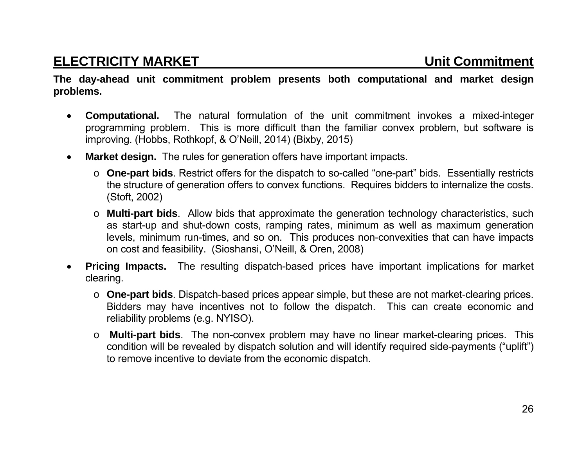## **ELECTRICITY MARKET Unit Commitment**

**The day-ahead unit commitment problem presents both computational and market design problems.** 

- $\bullet$  **Computational.** The natural formulation of the unit commitment invokes a mixed-integer programming problem. This is more difficult than the familiar convex problem, but software is improving. (Hobbs, Rothkopf, & O'Neill, 2014) (Bixby, 2015)
- $\bullet$  **Market design.** The rules for generation offers have important impacts.
	- o **One-part bids**. Restrict offers for the dispatch to so-called "one-part" bids. Essentially restricts the structure of generation offers to convex functions. Requires bidders to internalize the costs. (Stoft, 2002)
	- o **Multi-part bids**. Allow bids that approximate the generation technology characteristics, such as start-up and shut-down costs, ramping rates, minimum as well as maximum generation levels, minimum run-times, and so on. This produces non-convexities that can have impacts on cost and feasibility. (Sioshansi, O'Neill, & Oren, 2008)
- $\bullet$  **Pricing Impacts.** The resulting dispatch-based prices have important implications for market clearing.
	- o **One-part bids**. Dispatch-based prices appear simple, but these are not market-clearing prices. Bidders may have incentives not to follow the dispatch. This can create economic and reliability problems (e.g. NYISO).
	- **Multi-part bids**. The non-convex problem may have no linear market-clearing prices. This condition will be revealed by dispatch solution and will identify required side-payments ("uplift") to remove incentive to deviate from the economic dispatch.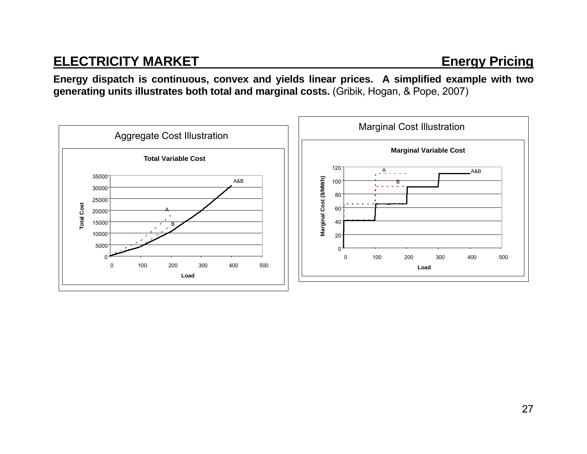## **ELECTRICITY MARKET** ENERGY Pricing

**Energy dispatch is continuous, convex and yields linear prices. A simplified example with two generating units illustrates both total and marginal costs.** (Gribik, Hogan, & Pope, 2007)

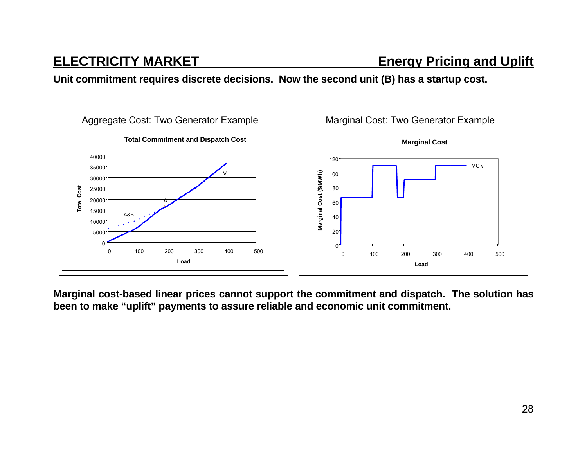**Unit commitment requires discrete decisions. Now the second unit (B) has a startup cost.** 



**Marginal cost-based linear prices cannot support the commitment and dispatch. The solution has been to make "uplift" payments to assure reliable and economic unit commitment.**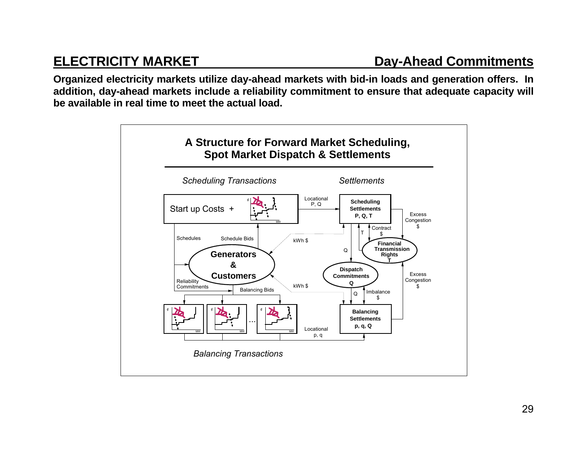**Organized electricity markets utilize day-ahead markets with bid-in loads and generation offers. In addition, day-ahead markets include a reliability commitment to ensure that adequate capacity will be available in real time to meet the actual load.** 

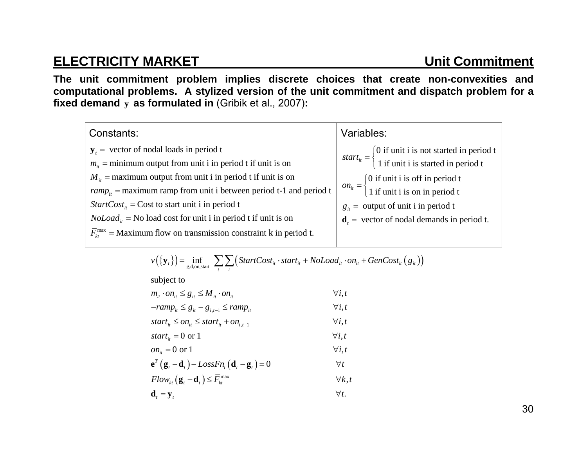## **ELECTRICITY MARKET Unit Commitment**

**The unit commitment problem implies discrete choices that create non-convexities and computational problems. A stylized version of the unit commitment and dispatch problem for a fixed demand <sup>y</sup> as formulated in** (Gribik et al., 2007)**:** 

| Constants:                                                                                | Variables:                                                                                                            |
|-------------------------------------------------------------------------------------------|-----------------------------------------------------------------------------------------------------------------------|
| $y_t$ = vector of nodal loads in period t                                                 | start <sub>it</sub> = $\begin{cases} 0$ if unit i is not started in period t<br>1 if unit i is started in period t    |
| $m_{\mu}$ = minimum output from unit i in period t if unit is on                          |                                                                                                                       |
| $M_{it}$ = maximum output from unit i in period t if unit is on                           | $on_{it} = \begin{cases} 0 \text{ if unit i is off in period t} \\ 1 \text{ if unit i is on in period t} \end{cases}$ |
| $ramp_{ii}$ = maximum ramp from unit i between period t-1 and period t                    |                                                                                                                       |
| <i>StartCost</i> <sub><i>ii</i></sub> = Cost to start unit i in period t                  | $g_{it}$ = output of unit i in period t                                                                               |
| $Noloadit$ = No load cost for unit i in period t if unit is on                            | $\mathbf{d}_{i}$ = vector of nodal demands in period t.                                                               |
| $\overline{F}_{kt}^{\text{max}}$ = Maximum flow on transmission constraint k in period t. |                                                                                                                       |
|                                                                                           |                                                                                                                       |

$$
v(\{\mathbf{y}_i\}) = \inf_{g,d,\text{on,start}} \sum_{t} \sum_{i} \left( StartCost_{it} \cdot start_{it} + NoLoad_{it} \cdot on_{it} + GenCost_{it}(g_{it}) \right)
$$

subject to

| $m_{it} \cdot on_{it} \leq g_{it} \leq M_{it} \cdot on_{it}$ | $\forall i, t$ |
|--------------------------------------------------------------|----------------|
|--------------------------------------------------------------|----------------|

$$
-ramp_{it} \leq g_{it} - g_{i,t-1} \leq ramp_{it} \qquad \qquad \forall i, t
$$

$$
start_{it} \leq on_{it} \leq start_{it} + on_{i,t-1} \qquad \qquad \forall i, t
$$

$$
start_{it} = 0 \text{ or } 1 \qquad \qquad \forall i, t
$$

$$
on_{it} = 0 \text{ or } 1 \qquad \qquad \forall i, t
$$

$$
\mathbf{e}^{T}\left(\mathbf{g}_{t}-\mathbf{d}_{t}\right)-LossFn_{t}\left(\mathbf{d}_{t}-\mathbf{g}_{t}\right)=0 \qquad \qquad \forall t
$$

$$
Flow_{kt}(\mathbf{g}_t - \mathbf{d}_t) \le \overline{F}_{kt}^{\max} \qquad \qquad \forall k, t
$$

$$
\mathbf{d}_t = \mathbf{y}_t \qquad \qquad \forall t.
$$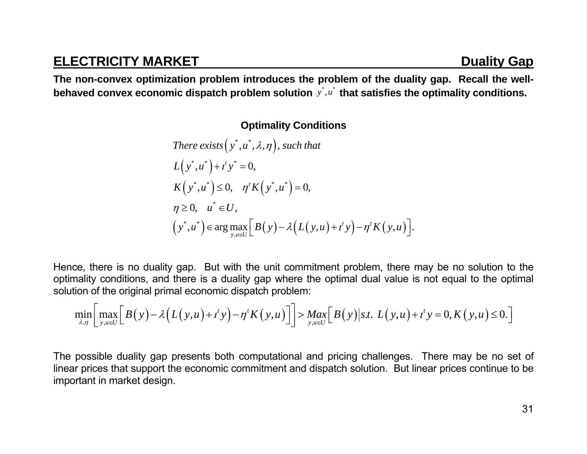## **ELECTRICITY MARKET DUALITY AND RELECTRICITY MARKET**

**The non-convex optimization problem introduces the problem of the duality gap. Recall the wellbehaved convex economic dispatch problem solution**  $y^*$ ,  $u^*$  that satisfies the optimality conditions.

### **Optimality Conditions**

There exists 
$$
(y^*, u^*, \lambda, \eta)
$$
, such that  
\n
$$
L(y^*, u^*) + t^t y^* = 0,
$$
\n
$$
K(y^*, u^*) \le 0, \quad \eta^t K(y^*, u^*) = 0,
$$
\n
$$
\eta \ge 0, \quad u^* \in U,
$$
\n
$$
(y^*, u^*) \in \arg \max_{y, u \in U} [B(y) - \lambda (L(y, u) + t^t y) - \eta^t K(y, u)].
$$

Hence, there is no duality gap. But with the unit commitment problem, there may be no solution to the optimality conditions, and there is a duality gap where the optimal dual value is not equal to the optimal solution of the original primal economic dispatch problem:

$$
\min_{\lambda,\eta}\bigg[\max_{y,u\in U}\bigg[B(y)-\lambda\big(L(y,u)+t^ty\big)-\eta^t K(y,u)\big]\bigg]> \max_{y,u\in U}\bigg[B(y)\big|s.t.\ L(y,u)+t^ty=0,K(y,u)\leq 0.\bigg]
$$

The possible duality gap presents both computational and pricing challenges. There may be no set of linear prices that support the economic commitment and dispatch solution. But linear prices continue to be important in market design.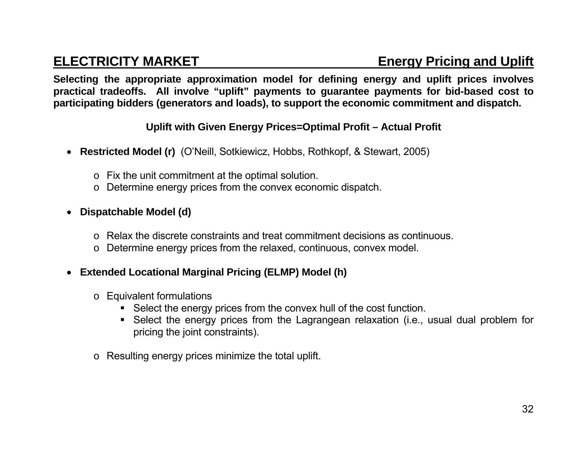**Selecting the appropriate approximation model for defining energy and uplift prices involves practical tradeoffs. All involve "uplift" payments to guarantee payments for bid-based cost to participating bidders (generators and loads), to support the economic commitment and dispatch.** 

### **Uplift with Given Energy Prices=Optimal Profit – Actual Profit**

- **Restricted Model (r)** (O'Neill, Sotkiewicz, Hobbs, Rothkopf, & Stewart, 2005)
	- <sup>o</sup> Fix the unit commitment at the optimal solution.
	- <sup>o</sup> Determine energy prices from the convex economic dispatch.

### **Dispatchable Model (d)**

- o Relax the discrete constraints and treat commitment decisions as continuous.
- <sup>o</sup> Determine energy prices from the relaxed, continuous, convex model.

### **Extended Locational Marginal Pricing (ELMP) Model (h)**

- <sup>o</sup> Equivalent formulations
	- Select the energy prices from the convex hull of the cost function.
	- Select the energy prices from the Lagrangean relaxation (i.e., usual dual problem for pricing the joint constraints).
- o Resulting energy prices minimize the total uplift.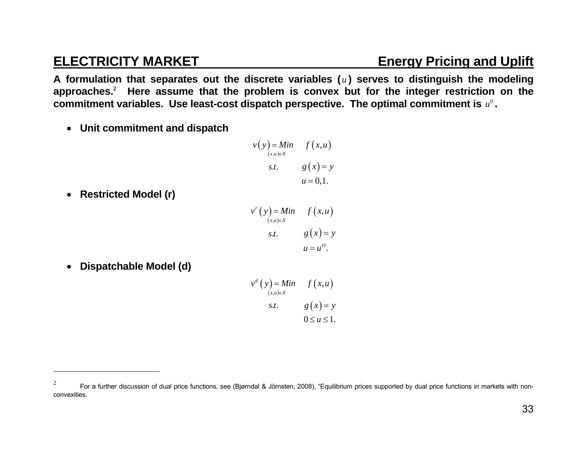**A formulation that separates out the discrete variables (** *u* **) serves to distinguish the modeling approaches.<sup>2</sup> Here assume that the problem is convex but for the integer restriction on the**  commitment variables. Use least-cost dispatch perspective. The optimal commitment is  $u^0$ .

**Unit commitment and dispatch** 

$$
v(y) = Min \t f(x,u)
$$
  
\n
$$
s.t. \t g(x) = y
$$
  
\n
$$
u = 0,1.
$$

**Restricted Model (r)** 

$$
v' (y) = Min \t f(x, u)
$$
  
\n
$$
s.t. \t g(x) = y
$$
  
\n
$$
u = u^{O}.
$$

**Dispatchable Model (d)** 

 $v^d(y) = Min$   $f(x, u)$  $(x,u) \in X$ s*t*.  $g(x) = y$  $0 \le u \le 1$ .

<sup>&</sup>lt;sup>2</sup> For a further discussion of dual price functions, see (Bjørndal & Jörnsten, 2008), "Equilibrium prices supported by dual price functions in markets with nonconvexities.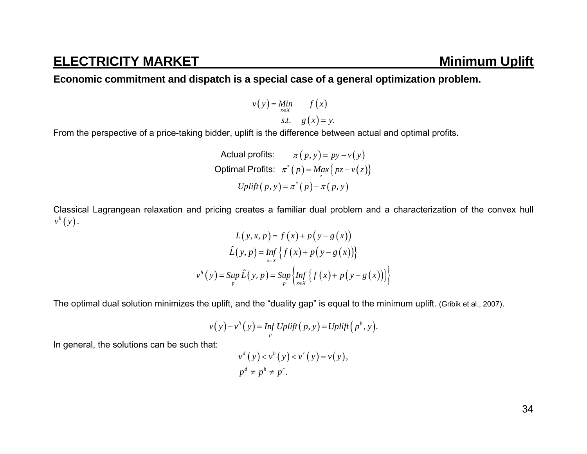## **ELECTRICITY MARKET** MINIMUM Uplift

### **Economic commitment and dispatch is a special case of a general optimization problem.**

$$
v(y) = \lim_{x \in X} \qquad f(x)
$$
  
s.t.  $g(x) = y$ .

From the perspective of a price-taking bidder, uplift is the difference between actual and optimal profits.

Actual profits:

\n
$$
\pi(p, y) = py - v(y)
$$
\nOptimal Profits:

\n
$$
\pi^*(p) = \max_{z} \{ pz - v(z) \}
$$
\n
$$
Uplift(p, y) = \pi^*(p) - \pi(p, y)
$$

Classical Lagrangean relaxation and pricing creates a familiar dual problem and a characterization of the convex hull  $v^h(y)$  .

$$
L(y, x, p) = f(x) + p(y - g(x))
$$

$$
\hat{L}(y, p) = \inf_{x \in X} \{ f(x) + p(y - g(x)) \}
$$

$$
v^{h}(y) = \sup_{p} \hat{L}(y, p) = \sup_{p} \{ \inf_{x \in X} \{ f(x) + p(y - g(x)) \} \}
$$

The optimal dual solution minimizes the uplift, and the "duality gap" is equal to the minimum uplift. (Gribik et al., 2007).

$$
v(y) - vh(y) = Inf Uplift(p, y) = Uplift(ph, y).
$$

In general, the solutions can be such that:

$$
vd(y) < vh(y) < vr(y) = v(y),
$$
  
\n
$$
pd \neq ph \neq pr.
$$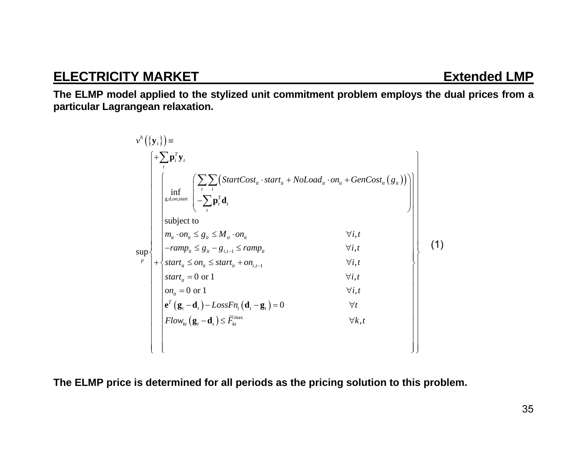## **ELECTRICITY MARKET EXtended LMP**

**The ELMP model applied to the stylized unit commitment problem employs the dual prices from a particular Lagrangean relaxation.** 

| $v^h\left(\left\{\mathbf{y}_t\right\}\right)$ = |  | $+\sum \mathbf{p}_t^T \mathbf{y}_t$                                                                                                                                                                                |                |  |
|-------------------------------------------------|--|--------------------------------------------------------------------------------------------------------------------------------------------------------------------------------------------------------------------|----------------|--|
|                                                 |  | $\left \inf_{g,d,\text{on,start}}\left\{\sum_{t}\sum_{i} \left(StartCost_{it} \cdot start_{it} + NoLoad_{it} \cdot on_{it} + GenCost_{it}(g_{it})\right)\right\}-\sum_{t}\mathbf{p}_{t}^{T}\mathbf{d}_{t}\right\ $ |                |  |
|                                                 |  | subject to<br>$m_{it} \cdot on_{it} \leq g_{it} \leq M_{it} \cdot on_{it}$                                                                                                                                         | $\forall i, t$ |  |
| sup                                             |  | $- ramp_{it} \leq g_{it} - g_{i,t-1} \leq ramp_{it}$                                                                                                                                                               | $\forall i, t$ |  |
| $\boldsymbol{p}$                                |  | $+\Big\{start_{it} \leq on_{it} \leq start_{it} + on_{i,t-1}\Big\}$                                                                                                                                                | $\forall i, t$ |  |
|                                                 |  | start <sub>it</sub> = 0 or 1                                                                                                                                                                                       | $\forall i, t$ |  |
|                                                 |  | $on_{ii} = 0$ or 1                                                                                                                                                                                                 | $\forall i, t$ |  |
|                                                 |  | $\mathbf{e}^T(\mathbf{g}_t - \mathbf{d}_t) - LossFn_t(\mathbf{d}_t - \mathbf{g}_t) = 0$                                                                                                                            | $\forall t$    |  |
|                                                 |  | $Flow_{k}(\mathbf{g}_{t}-\mathbf{d}_{t}) \leq \overline{F}_{k}^{\max}$                                                                                                                                             | $\forall k,t$  |  |
|                                                 |  |                                                                                                                                                                                                                    |                |  |

**The ELMP price is determined for all periods as the pricing solution to this problem.**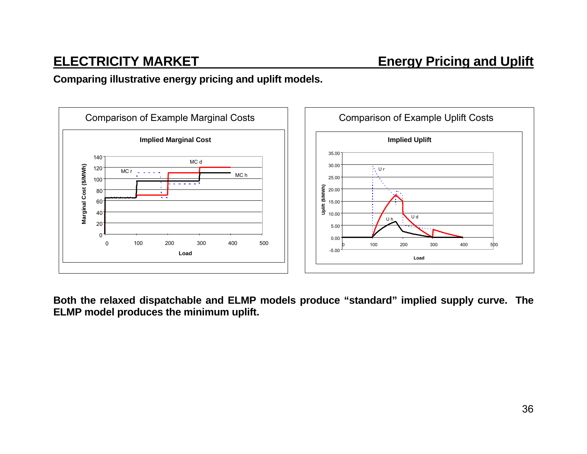### **Comparing illustrative energy pricing and uplift models.**



**Both the relaxed dispatchable and ELMP models produce "standard" implied supply curve. The ELMP model produces the minimum uplift.**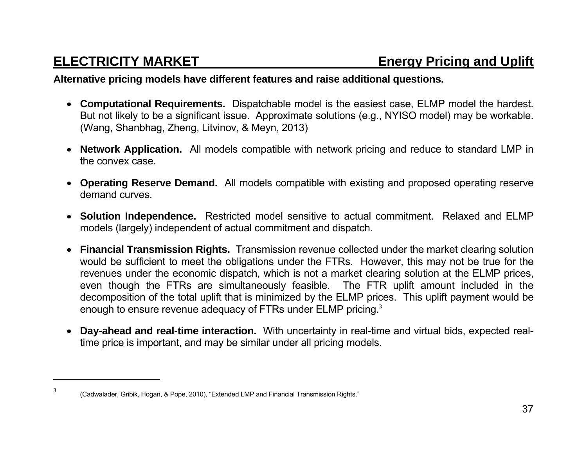### **Alternative pricing models have different features and raise additional questions.**

- **Computational Requirements.** Dispatchable model is the easiest case, ELMP model the hardest. But not likely to be a significant issue. Approximate solutions (e.g., NYISO model) may be workable. (Wang, Shanbhag, Zheng, Litvinov, & Meyn, 2013)
- **Network Application.** All models compatible with network pricing and reduce to standard LMP in the convex case.
- **Operating Reserve Demand.** All models compatible with existing and proposed operating reserve demand curves.
- **Solution Independence.** Restricted model sensitive to actual commitment. Relaxed and ELMP models (largely) independent of actual commitment and dispatch.
- **Financial Transmission Rights.** Transmission revenue collected under the market clearing solution would be sufficient to meet the obligations under the FTRs. However, this may not be true for the revenues under the economic dispatch, which is not a market clearing solution at the ELMP prices, even though the FTRs are simultaneously feasible. The FTR uplift amount included in the decomposition of the total uplift that is minimized by the ELMP prices. This uplift payment would be enough to ensure revenue adequacy of FTRs under ELMP pricing.<sup>3</sup>
- $\bullet$  **Day-ahead and real-time interaction.** With uncertainty in real-time and virtual bids, expected realtime price is important, and may be similar under all pricing models.

 $3$  (Cadwalader, Gribik, Hogan, & Pope, 2010), "Extended LMP and Financial Transmission Rights."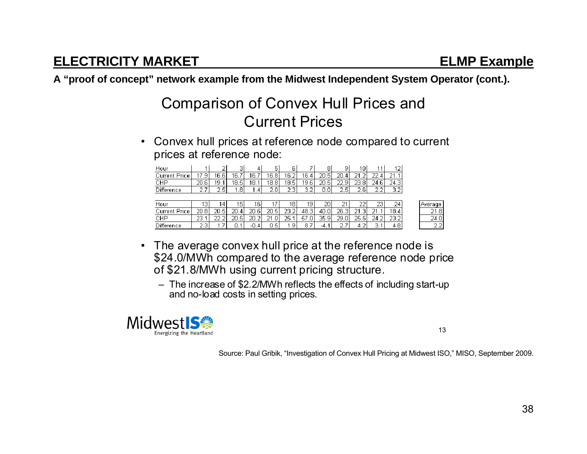**A "proof of concept" network example from the Midwest Independent System Operator (cont.).** 

# Comparison of Convex Hull Prices and Current Prices

• Convex hull prices at reference node compared to current prices at reference node:

| Hour                 |                | ∠       | з     | 4                     | 5          | 61    |          | 81         | a       | 10ı      |      |          |
|----------------------|----------------|---------|-------|-----------------------|------------|-------|----------|------------|---------|----------|------|----------|
| <b>Current Price</b> | <b>Q</b><br>17 | 16.6    | 16.7  | 16.7                  | 16.81      | 16.2  | 16.4     | 20.<br>.5  | 20<br>4 | $\neg$ 1 | าา   | $\neg$ 1 |
| CHP                  | 20.6           | 19.     | 18.5' | 18.<br>$\overline{ }$ | 18.8       | 18.5I | 19.6     | 20.<br>.51 | つつ<br>a | 23.81    | 24.6 | 24.3     |
| Difference           | ∽              | - 2 5 ' | 81    | 4<br>м                | C.<br>וח ל | ଠ ସା  | Э.<br>21 | 0.0        | つち      | つら       | າາ   | つつ       |
|                      |                |         |       |                       |            |       |          |            |         |          |      |          |

| Hour                    | o<br>◡      |                   | 15       | 16             |               | 18               | 19         | 20         | OИ<br>- | ~~<br>∠∠           | 23            | 24                | Average |
|-------------------------|-------------|-------------------|----------|----------------|---------------|------------------|------------|------------|---------|--------------------|---------------|-------------------|---------|
| Price<br><b>Current</b> | 20.8        | 20.5 <sub>1</sub> | 20.<br>4 | 20.6           | 20.5          | つつ<br>~<br>ے ۔ ت | ن:48       | 40.OI      | 26.3    | $\sim$ 4<br>-<br>- | $\sim$ 4<br>- | 18.4 <sub>1</sub> | 21.8I   |
| CHP                     | רר<br>د ب   | ~~<br>÷           | 20.5     | 20.2<br>$\sim$ | ФΑ<br>ים.     | 25.              | -57<br>יס. | 35.9<br>a۱ | 29.0    | 25.5<br>∽.         | 24.2l         | 23.2              | 24.01   |
| Difference              | ÷<br>$\sim$ |                   |          | 4<br>-U.,      | -<br>д<br>U.J | a.               | -8.,<br>-  | -4. .      | ~<br>-  |                    | -<br>.,       | 4.8               | -<br>C. |

- The average convex hull price at the reference node is \$24.0/MWh compared to the average reference node price of \$21.8/MWh using current pricing structure.
	- The increase of \$2.2/MWh reflects the effects of including start-up and no-load costs in setting prices.



13

Source: Paul Gribik, "Investigation of Convex Hull Pricing at Midwest ISO," MISO, September 2009.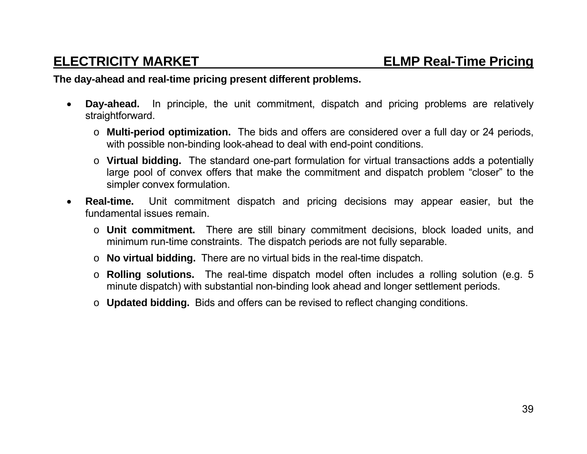### **The day-ahead and real-time pricing present different problems.**

- $\bullet$  **Day-ahead.** In principle, the unit commitment, dispatch and pricing problems are relatively straightforward.
	- o **Multi-period optimization.** The bids and offers are considered over a full day or 24 periods, with possible non-binding look-ahead to deal with end-point conditions.
	- o **Virtual bidding.** The standard one-part formulation for virtual transactions adds a potentially large pool of convex offers that make the commitment and dispatch problem "closer" to the simpler convex formulation.
- $\bullet$  **Real-time.** Unit commitment dispatch and pricing decisions may appear easier, but the fundamental issues remain.
	- o **Unit commitment.** There are still binary commitment decisions, block loaded units, and minimum run-time constraints. The dispatch periods are not fully separable.
	- o **No virtual bidding.** There are no virtual bids in the real-time dispatch.
	- o **Rolling solutions.** The real-time dispatch model often includes a rolling solution (e.g. 5 minute dispatch) with substantial non-binding look ahead and longer settlement periods.
	- o **Updated bidding.** Bids and offers can be revised to reflect changing conditions.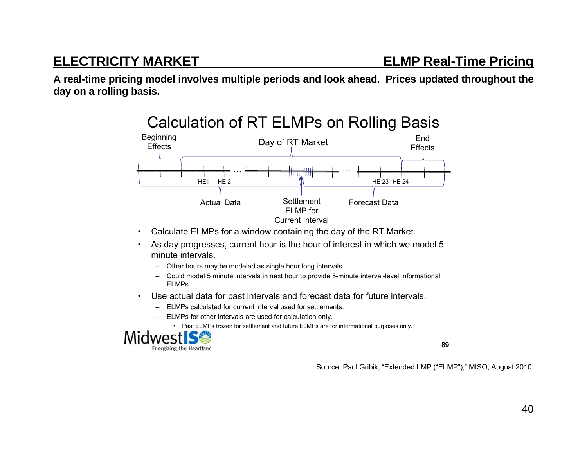**A real-time pricing model involves multiple periods and look ahead. Prices updated throughout the day on a rolling basis.** 



## Calculation of RT ELMPs on Rolling Basis

- •Calculate ELMPs for a window containing the day of the RT Market.
- • As day progresses, current hour is the hour of interest in which we model 5 minute intervals.
	- Other hours may be modeled as single hour long intervals.
	- Could model 5 minute intervals in next hour to provide 5-minute interval-level informational ELMPs.
- • Use actual data for past intervals and forecast data for future intervals.
	- ELMPs calculated for current interval used for settlements.
	- ELMPs for other intervals are used for calculation only.
		- Past ELMPs frozen for settlement and future ELMPs are for informational purposes only.



89

Source: Paul Gribik, "Extended LMP ("ELMP")," MISO, August 2010.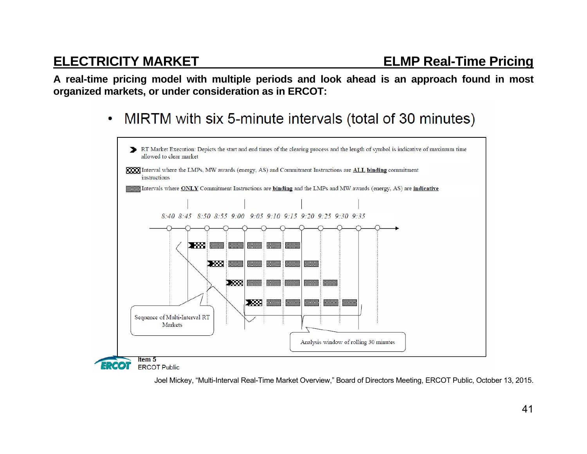**A real-time pricing model with multiple periods and look ahead is an approach found in most organized markets, or under consideration as in ERCOT:** 

> MIRTM with six 5-minute intervals (total of 30 minutes)  $\bullet$



Joel Mickey, "Multi-Interval Real-Time Market Overview," Board of Directors Meeting, ERCOT Public, October 13, 2015.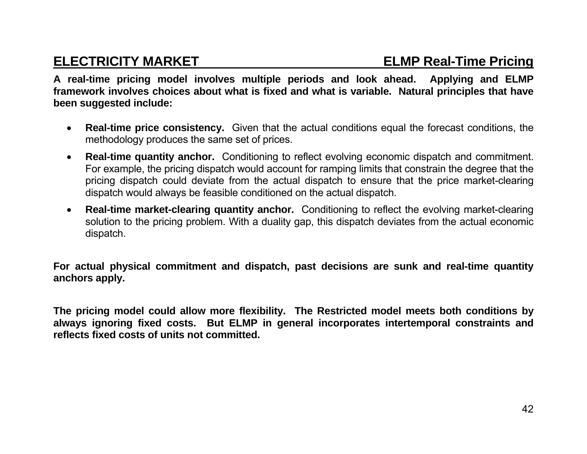**A real-time pricing model involves multiple periods and look ahead. Applying and ELMP framework involves choices about what is fixed and what is variable. Natural principles that have been suggested include:** 

- $\bullet$  **Real-time price consistency.** Given that the actual conditions equal the forecast conditions, the methodology produces the same set of prices.
- $\bullet$  **Real-time quantity anchor.** Conditioning to reflect evolving economic dispatch and commitment. For example, the pricing dispatch would account for ramping limits that constrain the degree that the pricing dispatch could deviate from the actual dispatch to ensure that the price market-clearing dispatch would always be feasible conditioned on the actual dispatch.
- $\bullet$  **Real-time market-clearing quantity anchor.** Conditioning to reflect the evolving market-clearing solution to the pricing problem. With a duality gap, this dispatch deviates from the actual economic dispatch.

**For actual physical commitment and dispatch, past decisions are sunk and real-time quantity anchors apply.** 

**The pricing model could allow more flexibility. The Restricted model meets both conditions by always ignoring fixed costs. But ELMP in general incorporates intertemporal constraints and reflects fixed costs of units not committed.**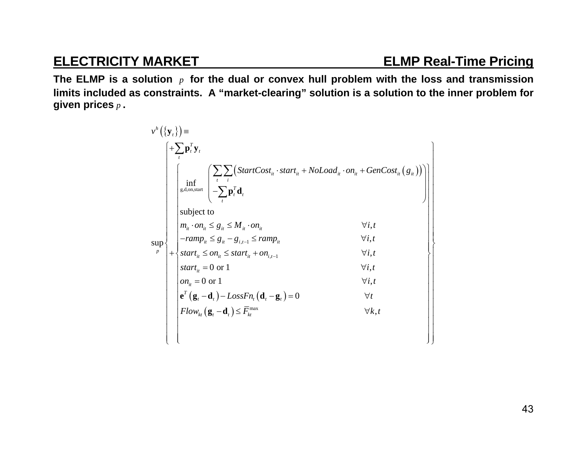**The ELMP is a solution**  *<sup>p</sup>* **for the dual or convex hull problem with the loss and transmission limits included as constraints. A "market-clearing" solution is a solution to the inner problem for given prices** *p* **.** 

| $v^h(\{\mathbf{y}_t\}) \equiv$ |  |                                                                                                                                                                                                                                     |                |
|--------------------------------|--|-------------------------------------------------------------------------------------------------------------------------------------------------------------------------------------------------------------------------------------|----------------|
|                                |  | $+\sum \mathbf{p}_t^T \mathbf{y}_t$                                                                                                                                                                                                 |                |
|                                |  | $\left( StartCost_{it} \cdot start_{it} + NoLoad_{it} \cdot on_{it} + GenCost_{it}(g_{it})\right)$<br>$\inf_{\text{g,d,on,start}} \begin{cases} \sum_{t} \sum_{i} (\text{Stc} \\ -\sum_{i} \mathbf{p}_i^T \mathbf{d}_t \end{cases}$ |                |
|                                |  | subject to                                                                                                                                                                                                                          |                |
|                                |  | $m_{ii} \cdot on_{ii} \leq g_{ii} \leq M_{ii} \cdot on_{ii}$                                                                                                                                                                        | $\forall i, t$ |
| sup                            |  | $-ramp_{it} \leq g_{it} - g_{i,t-1} \leq ramp_{it}$                                                                                                                                                                                 | $\forall i, t$ |
| $\boldsymbol{p}$               |  | $+\Big\{start_{it} \leq on_{it} \leq start_{it} + on_{i,t-1}\Big\}$                                                                                                                                                                 | $\forall i, t$ |
|                                |  | start <sub>it</sub> = 0 or 1                                                                                                                                                                                                        | $\forall i, t$ |
|                                |  | $on_{ii} = 0$ or 1                                                                                                                                                                                                                  | $\forall i, t$ |
|                                |  | $\mathbf{e}^T \left( \mathbf{g}_t - \mathbf{d}_t \right) - LossFn_t \left( \mathbf{d}_t - \mathbf{g}_t \right) = 0$                                                                                                                 | $\forall t$    |
|                                |  | $Flow_{k}(\mathbf{g}_{t}-\mathbf{d}_{t}) \leq \overline{F}_{k}^{\max}$                                                                                                                                                              | $\forall k,t$  |
|                                |  |                                                                                                                                                                                                                                     |                |
|                                |  |                                                                                                                                                                                                                                     |                |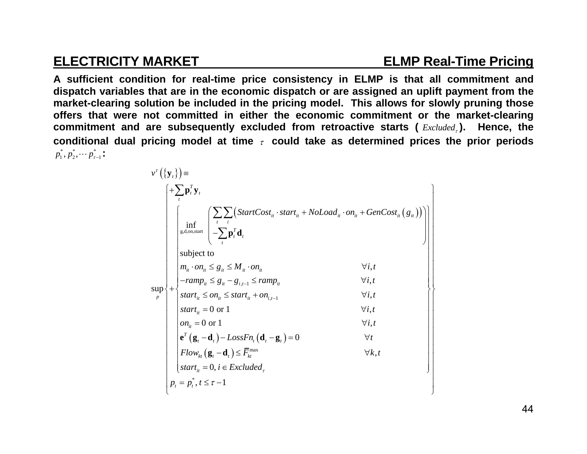$1.2 - 1.3$ 

## **ELECTRICITY MARKET ELMP Real-Time Pricing**

**A sufficient condition for real-time price consistency in ELMP is that all commitment and dispatch variables that are in the economic dispatch or are assigned an uplift payment from the market-clearing solution be included in the pricing model. This allows for slowly pruning those offers that were not committed in either the economic commitment or the market-clearing commitment and are subsequently excluded from retroactive starts (** *Excluded* **). Hence, the conditional dual pricing model at time could take as determined prices the prior periods**   $p_1^*, p_2^*, \cdots p_{\tau-1}^*$  :

| $v^{\tau}(\{\mathbf{y}_{t}\})$ = |  | $+\sum \mathbf{p}_t^T \mathbf{y}_t$                                                                                |                                                                                                                                                                           |
|----------------------------------|--|--------------------------------------------------------------------------------------------------------------------|---------------------------------------------------------------------------------------------------------------------------------------------------------------------------|
|                                  |  | inf<br>g,d,on, start                                                                                               | $\left(\sum_{i}\sum_{i}\left(StartCost_{it} \cdot start_{it} + NoLoad_{it} \cdot on_{it} + GenCost_{it}(g_{it})\right)\right) - \sum_{i}\mathbf{p}_{i}^{T}\mathbf{d}_{i}$ |
|                                  |  | subject to                                                                                                         |                                                                                                                                                                           |
|                                  |  | $m_{it} \cdot on_{it} \leq g_{it} \leq M_{it} \cdot on_{it}$                                                       | $\forall i, t$                                                                                                                                                            |
|                                  |  | $-ramp_{it} \leq g_{it} - g_{i,t-1} \leq ramp_{it}$                                                                | $\forall i, t$                                                                                                                                                            |
| sup                              |  | $start_{it} \leq on_{it} \leq start_{it} + on_{i,t-1}$                                                             | $\forall i, t$                                                                                                                                                            |
|                                  |  | start <sub>it</sub> = 0 or 1                                                                                       | $\forall i, t$                                                                                                                                                            |
|                                  |  | $on_{ii} = 0$ or 1                                                                                                 | $\forall i, t$                                                                                                                                                            |
|                                  |  | $\mathbf{e}^T\left(\mathbf{g}_t-\mathbf{d}_t\right)-LossFn_t\left(\mathbf{d}_t-\mathbf{g}_t\right)=0$              | $\forall t$                                                                                                                                                               |
|                                  |  | $\left  \textit{Flow}_{kt} \left( \mathbf{g}_t - \mathbf{d}_t \right) \right  \leq \overline{F}_{kt}^{\text{max}}$ | $\forall k,t$                                                                                                                                                             |
|                                  |  | $\left[ \text{start}_{i} = 0, i \in \text{Excluded}_{\tau} \right]$                                                |                                                                                                                                                                           |
|                                  |  | $p_t = p_t^*, t \leq \tau - 1$                                                                                     |                                                                                                                                                                           |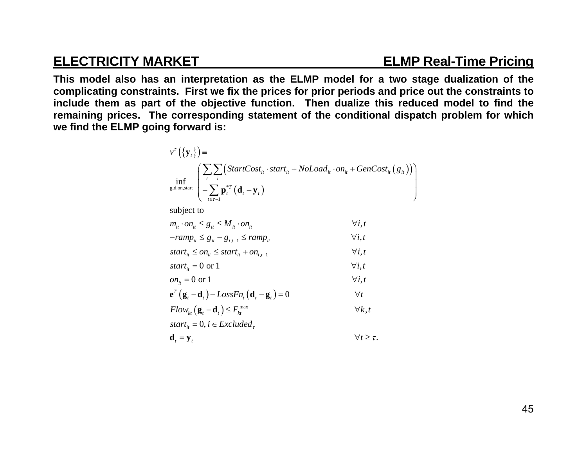## **ELECTRICITY MARKET ELMP Real-Time Pricing**

**This model also has an interpretation as the ELMP model for a two stage dualization of the complicating constraints. First we fix the prices for prior periods and price out the constraints to include them as part of the objective function. Then dualize this reduced model to find the remaining prices. The corresponding statement of the conditional dispatch problem for which we find the ELMP going forward is:** 

$$
v^{\tau}\left(\{\mathbf{y}_{t}\}\right) = \prod_{\substack{t \text{ s.d.}} \text{ s.d.}} \left( \sum_{t} \sum_{i} \left( StartCost_{it} \cdot start_{it} + NoLoad_{it} \cdot on_{it} + GenCost_{it} \left(g_{it}\right) \right) \right) \left( \sum_{t \leq \tau-1} \mathbf{p}_{t}^{*T} \left(\mathbf{d}_{t} - \mathbf{y}_{t}\right) \right)
$$

 $\mathbf{v}$ ,  $\mathbf{v}$ ,  $\mathbf{v}$ ,  $\mathbf{v}$ ,  $\mathbf{v}$ ,  $\mathbf{v}$ ,  $\mathbf{v}$ ,  $\mathbf{v}$ ,  $\mathbf{v}$ ,  $\mathbf{v}$ ,  $\mathbf{v}$ ,  $\mathbf{v}$ ,  $\mathbf{v}$ ,  $\mathbf{v}$ ,  $\mathbf{v}$ ,  $\mathbf{v}$ ,  $\mathbf{v}$ ,  $\mathbf{v}$ ,  $\mathbf{v}$ ,  $\mathbf{v}$ ,  $\mathbf{v}$ ,  $\mathbf{v}$ ,

subject to

| $m_{ii} \cdot on_{ii} \leq g_{ii} \leq M_{ii} \cdot on_{ii}$ | $\forall i, t$ |
|--------------------------------------------------------------|----------------|
| $- ramp_{it} \leq g_{it} - g_{i,t-1} \leq ramp_{it}$         | $\forall i, t$ |
|                                                              |                |

$$
start_{it} \leq on_{it} \leq start_{it} + on_{i,t-1} \qquad \qquad \forall i, t
$$
  
start = 0 or 1

$$
start_{it} = 0 \text{ or } 1 \qquad \qquad \forall i, t
$$
  
 
$$
on_{it} = 0 \text{ or } 1 \qquad \qquad \forall i, t
$$

$$
\mathbf{e}^T \left( \mathbf{g}_t - \mathbf{d}_t \right) - LossFn_t \left( \mathbf{d}_t - \mathbf{g}_t \right) = 0 \qquad \qquad \forall t
$$

$$
Flow_{kt}(\mathbf{g}_t - \mathbf{d}_t) \le \overline{F}_{kt}^{\max} \qquad \qquad \forall k, t
$$

$$
start_{it} = 0, i \in Excluded_{\tau}
$$
\n
$$
d = v
$$

$$
\mathbf{d}_t = \mathbf{y}_t \qquad \qquad \forall t \geq \tau.
$$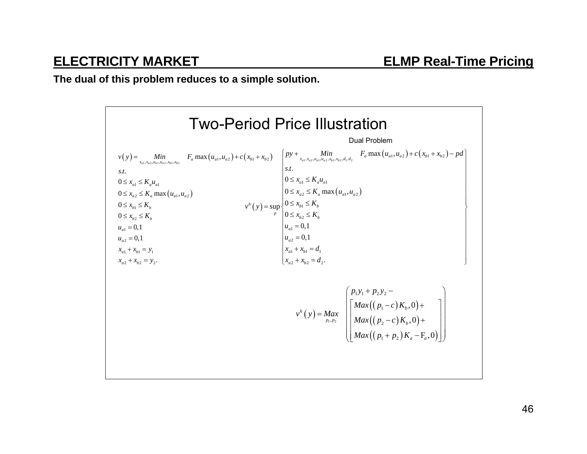**The dual of this problem reduces to a simple solution.** 

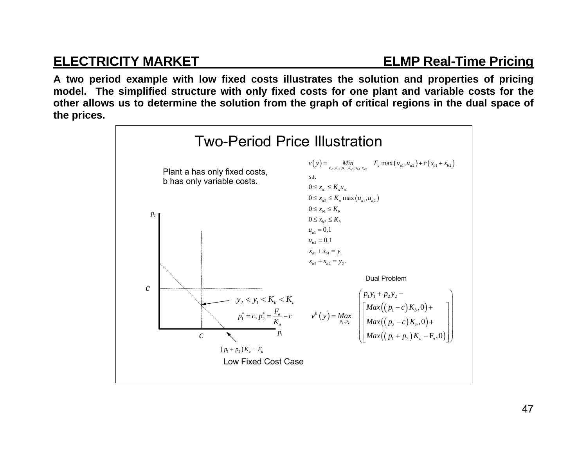**A two period example with low fixed costs illustrates the solution and properties of pricing model. The simplified structure with only fixed costs for one plant and variable costs for the other allows us to determine the solution from the graph of critical regions in the dual space of the prices.** 

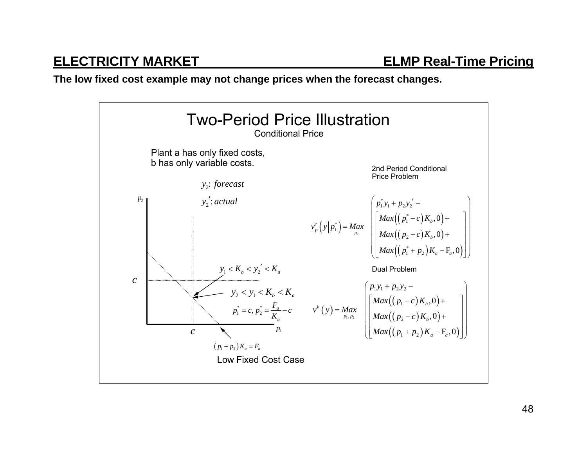### **The low fixed cost example may not change prices when the forecast changes.**

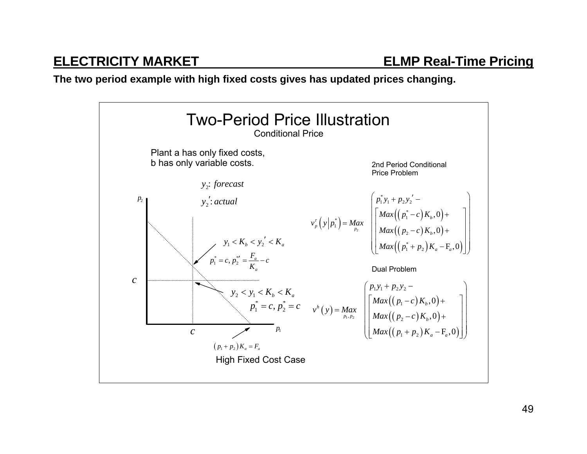**The two period example with high fixed costs gives has updated prices changing.** 

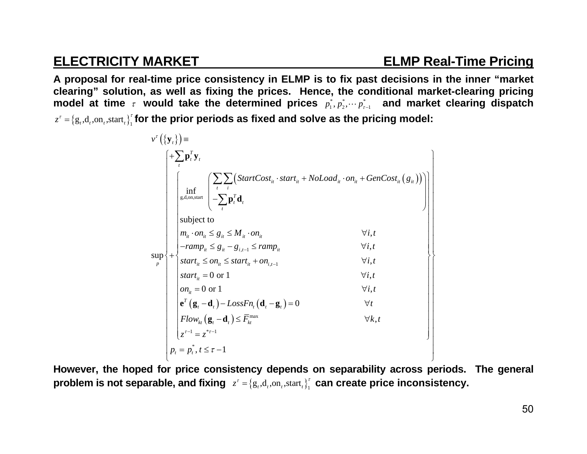## **ELECTRICITY MARKET ELMP Real-Time Pricing**

**A proposal for real-time price consistency in ELMP is to fix past decisions in the inner "market clearing" solution, as well as fixing the prices. Hence, the conditional market-clearing pricing**  model at time  $\tau$  would take the determined prices  $p_1^*,p_2^*, \cdots p_{\tau-1}^*$  and market clearing dispatch  $z^{\tau} = \{g_{t}, d_{t}, \mathrm{on}_{t}, \mathrm{start}_{t}\}^{\tau}$  for the prior periods as fixed and solve as the pricing model:

$$
v^{r}(\mathbf{y}_{t}) = \begin{cases}\n+ \sum_{t} \mathbf{p}_{t}^{T} \mathbf{y}_{t} \\
\inf_{\mathbf{g}, \mathbf{d}, \mathbf{on}, \mathbf{M}}\n\end{cases}\n\begin{bmatrix}\n\sum_{t} \sum_{i} \left( StartCost_{i} \cdot start_{i} + Nolload_{i} \cdot on_{i} + GenCost_{i} (g_{i})\right) \\
-\sum_{t} \mathbf{p}_{t}^{T} \mathbf{d}_{t} \\
\text{subject to} \\
m_{i} \cdot on_{i} \leq g_{i} \leq M_{i} \cdot on_{i} & \forall i, t \\
-\n\sum_{p} \sum_{i} \left( \sum_{i} \left( StartCost_{i} \cdot start_{i} + Nolload_{i} \cdot on_{i} + GenCost_{i} (g_{i})\right) \right) \\
\text{subject to} \\
m_{i} \cdot on_{i} \leq g_{i} - g_{i, t-1} \leq ramp_{i} & \forall i, t \\
\text{start}_{i} \leq on_{i} \leq start_{i} + on_{i, t-1} & \forall i, t \\
\text{start}_{i} = 0 \text{ or } 1 & \forall i, t \\
\text{start}_{i} = 0 \text{ or } 1 & \forall i, t \\
\mathbf{e}^{r}(\mathbf{g}_{t} - \mathbf{d}_{t}) - LossFn_{t}(\mathbf{d}_{t} - \mathbf{g}_{t}) = 0 & \forall t \\
Flow_{ki}(\mathbf{g}_{t} - \mathbf{d}_{t}) \leq \overline{F}_{ki}^{\max} & \forall k, t\n\end{cases}\n\begin{bmatrix}\n\sum_{i} \left( \sum_{i} \left( StartCost_{i} \cdot start_{i} + Nolload_{i} \cdot on_{i} + GenCost_{i} (g_{i}) \right) \\
\sum_{i} \left( \sum_{i} \left( \sum_{i} \left( \sum_{i} \left( \sum_{i} \right) \right) \right) \\
\sum_{i} \left( \sum_{i} \left( \sum_{i} \left( \sum_{i} \left( \sum_{i} \right) \right) \right) \\
\sum_{i} \left( \sum_{i} \left( \sum_{i} \left( \sum_{i} \left( \sum_{i} \right) \right) \right) \\
\sum_{i} \left( \sum_{i} \left( \sum_{i} \left( \sum_{i} \left( \sum_{i} \left( \sum_{i
$$

**However, the hoped for price consistency depends on separability across periods. The general**  problem is not separable, and fixing  $z^\tau = \{g_\tau,d_\tau,$ on $_\tau,$ start $_\tau\}^{\tau}_1$  can create price inconsistency.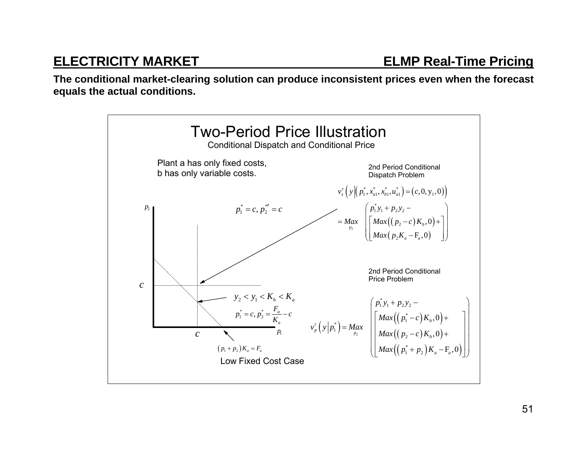**The conditional market-clearing solution can produce inconsistent prices even when the forecast equals the actual conditions.** 

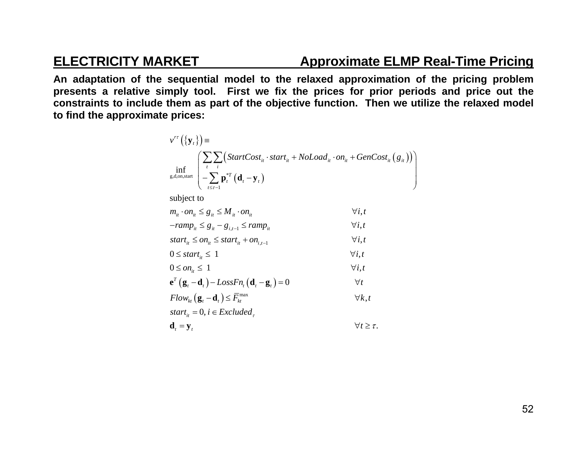## **ELECTRICITY MARKET Approximate ELMP Real-Time Pricing**

**An adaptation of the sequential model to the relaxed approximation of the pricing problem presents a relative simply tool. First we fix the prices for prior periods and price out the constraints to include them as part of the objective function. Then we utilize the relaxed model to find the approximate prices:** 

$$
v^{rt}\left(\left\{\mathbf{y}_t\right\}\right) = \inf_{\text{g.d. on, start}} \left( \sum_{t} \sum_{i} \left( StartCost_{it} \cdot start_{it} + NoLoad_{it} \cdot on_{it} + GenCost_{it} \left(\mathbf{g}_{it}\right) \right) \right)
$$

subject to

| $m_{it} \cdot on_{it} \leq g_{it} \leq M_{it} \cdot on_{it}$                                          | $\forall i, t$          |
|-------------------------------------------------------------------------------------------------------|-------------------------|
| $-ramp_{it} \leq g_{it} - g_{it-1} \leq ramp_{it}$                                                    | $\forall i, t$          |
| start <sub>it</sub> $\leq$ on <sub>it</sub> $\leq$ start <sub>it</sub> + on <sub>it-1</sub>           | $\forall i, t$          |
| $0 \leq start_{i} \leq 1$                                                                             | $\forall i, t$          |
| $0 \leq on_{ii} \leq 1$                                                                               | $\forall i, t$          |
| $\mathbf{e}^T\left(\mathbf{g}_t-\mathbf{d}_t\right)-LossFn_t\left(\mathbf{d}_t-\mathbf{g}_t\right)=0$ | $\forall t$             |
| $Flow_{k}(\mathbf{g}_{t}-\mathbf{d}_{t}) \leq \overline{F}_{k}^{\max}$                                | $\forall k, t$          |
| start <sub>it</sub> = 0, $i \in Excluded$ ,                                                           |                         |
| $\mathbf{d}_{t} = \mathbf{y}_{t}$                                                                     | $\forall t \geq \tau$ . |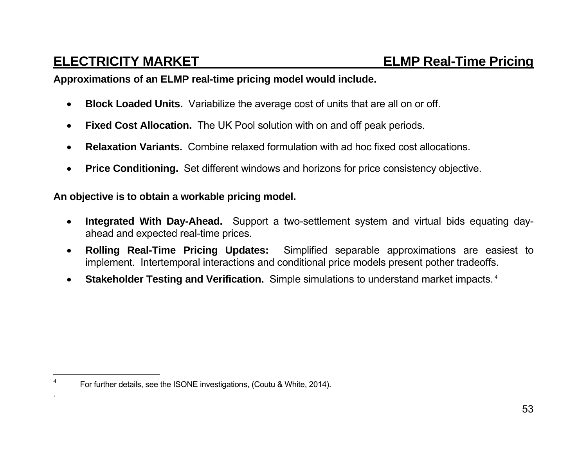### **Approximations of an ELMP real-time pricing model would include.**

- $\bullet$ **Block Loaded Units.** Variabilize the average cost of units that are all on or off.
- $\bullet$ **Fixed Cost Allocation.** The UK Pool solution with on and off peak periods.
- $\bullet$ **Relaxation Variants.** Combine relaxed formulation with ad hoc fixed cost allocations.
- $\bullet$ **Price Conditioning.** Set different windows and horizons for price consistency objective.

### **An objective is to obtain a workable pricing model.**

- $\bullet$  **Integrated With Day-Ahead.** Support a two-settlement system and virtual bids equating dayahead and expected real-time prices.
- $\bullet$  **Rolling Real-Time Pricing Updates:** Simplified separable approximations are easiest to implement. Intertemporal interactions and conditional price models present pother tradeoffs.
- $\bullet$ **Stakeholder Testing and Verification.** Simple simulations to understand market impacts.<sup>4</sup>

<sup>4</sup>For further details, see the ISONE investigations, (Coutu & White, 2014).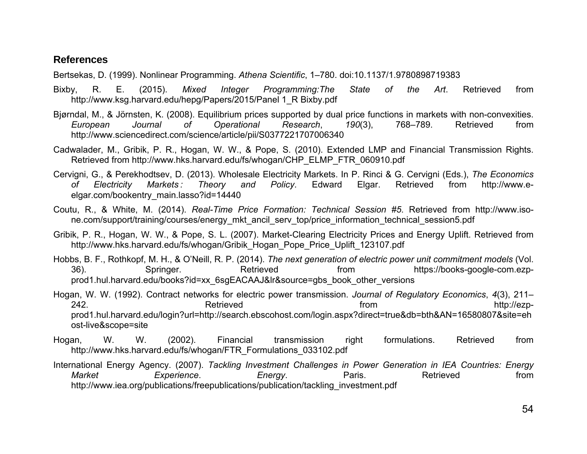### **References**

Bertsekas, D. (1999). Nonlinear Programming. *Athena Scientific*, 1–780. doi:10.1137/1.9780898719383

- Bixby, R. E. (2015). *Mixed Integer Programming:The State of the Art*. Retrieved from http://www.ksg.harvard.edu/hepg/Papers/2015/Panel 1\_R Bixby.pdf
- Bjørndal, M., & Jörnsten, K. (2008). Equilibrium prices supported by dual price functions in markets with non-convexities. *European Journal of Operational Research*, *190*(3), 768–789. Retrieved from http://www.sciencedirect.com/science/article/pii/S0377221707006340
- Cadwalader, M., Gribik, P. R., Hogan, W. W., & Pope, S. (2010). Extended LMP and Financial Transmission Rights. Retrieved from http://www.hks.harvard.edu/fs/whogan/CHP\_ELMP\_FTR\_060910.pdf
- Cervigni, G., & Perekhodtsev, D. (2013). Wholesale Electricity Markets. In P. Rinci & G. Cervigni (Eds.), *The Economics of Electricity Markets : Theory and Policy*. Edward Elgar. Retrieved from http://www.eelgar.com/bookentry\_main.lasso?id=14440
- Coutu, R., & White, M. (2014). *Real-Time Price Formation: Technical Session #5*. Retrieved from http://www.isone.com/support/training/courses/energy\_mkt\_ancil\_serv\_top/price\_information\_technical\_session5.pdf
- Gribik, P. R., Hogan, W. W., & Pope, S. L. (2007). Market-Clearing Electricity Prices and Energy Uplift. Retrieved from http://www.hks.harvard.edu/fs/whogan/Gribik\_Hogan\_Pope\_Price\_Uplift\_123107.pdf
- Hobbs, B. F., Rothkopf, M. H., & O'Neill, R. P. (2014). *The next generation of electric power unit commitment models* (Vol. 36). Springer. Springer. Retrieved from https://books-google-com.ezpprod1.hul.harvard.edu/books?id=xx\_6sgEACAAJ&lr&source=gbs\_book\_other\_versions
- Hogan, W. W. (1992). Contract networks for electric power transmission. *Journal of Regulatory Economics*, *4*(3), 211– 242. Retrieved from http://ezpprod1.hul.harvard.edu/login?url=http://search.ebscohost.com/login.aspx?direct=true&db=bth&AN=16580807&site=eh ost-live&scope=site
- Hogan, W. W. (2002). Financial transmission right formulations. Retrieved from http://www.hks.harvard.edu/fs/whogan/FTR\_Formulations\_033102.pdf
- International Energy Agency. (2007). *Tackling Investment Challenges in Power Generation in IEA Countries: Energy Market Experience*. *Energy*. Paris. Retrieved from http://www.iea.org/publications/freepublications/publication/tackling\_investment.pdf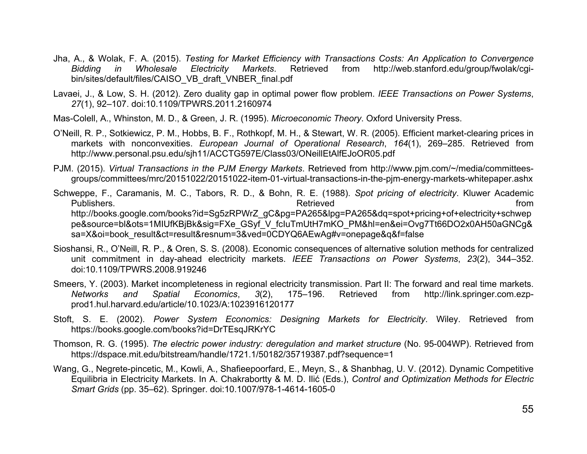- Jha, A., & Wolak, F. A. (2015). *Testing for Market Efficiency with Transactions Costs: An Application to Convergence Bidding in Wholesale Electricity Markets*. Retrieved from http://web.stanford.edu/group/fwolak/cgibin/sites/default/files/CAISO\_VB\_draft\_VNBER\_final.pdf
- Lavaei, J., & Low, S. H. (2012). Zero duality gap in optimal power flow problem. *IEEE Transactions on Power Systems*, *27*(1), 92–107. doi:10.1109/TPWRS.2011.2160974
- Mas-Colell, A., Whinston, M. D., & Green, J. R. (1995). *Microeconomic Theory*. Oxford University Press.
- O'Neill, R. P., Sotkiewicz, P. M., Hobbs, B. F., Rothkopf, M. H., & Stewart, W. R. (2005). Efficient market-clearing prices in markets with nonconvexities. *European Journal of Operational Research*, *164*(1), 269–285. Retrieved from http://www.personal.psu.edu/sjh11/ACCTG597E/Class03/ONeillEtAlfEJoOR05.pdf
- PJM. (2015). *Virtual Transactions in the PJM Energy Markets*. Retrieved from http://www.pjm.com/~/media/committeesgroups/committees/mrc/20151022/20151022-item-01-virtual-transactions-in-the-pjm-energy-markets-whitepaper.ashx
- Schweppe, F., Caramanis, M. C., Tabors, R. D., & Bohn, R. E. (1988). *Spot pricing of electricity*. Kluwer Academic Publishers. Retrieved from http://books.google.com/books?id=Sg5zRPWrZ\_gC&pg=PA265&lpg=PA265&dq=spot+pricing+of+electricity+schwep pe&source=bl&ots=1MIUfKBjBk&sig=FXe\_GSyf\_V\_fcIuTmUtH7mKO\_PM&hl=en&ei=Ovg7Tt66DO2x0AH50aGNCg& sa=X&oi=book\_result&ct=result&resnum=3&ved=0CDYQ6AEwAg#v=onepage&q&f=false
- Sioshansi, R., O'Neill, R. P., & Oren, S. S. (2008). Economic consequences of alternative solution methods for centralized unit commitment in day-ahead electricity markets. *IEEE Transactions on Power Systems*, *23*(2), 344–352. doi:10.1109/TPWRS.2008.919246
- Smeers, Y. (2003). Market incompleteness in regional electricity transmission. Part II: The forward and real time markets. *Networks and Spatial Economics*, *3*(2), 175–196. Retrieved from http://link.springer.com.ezpprod1.hul.harvard.edu/article/10.1023/A:1023916120177
- Stoft, S. E. (2002). *Power System Economics: Designing Markets for Electricity*. Wiley. Retrieved from https://books.google.com/books?id=DrTEsqJRKrYC
- Thomson, R. G. (1995). *The electric power industry: deregulation and market structure* (No. 95-004WP). Retrieved from https://dspace.mit.edu/bitstream/handle/1721.1/50182/35719387.pdf?sequence=1
- Wang, G., Negrete-pincetic, M., Kowli, A., Shafieepoorfard, E., Meyn, S., & Shanbhag, U. V. (2012). Dynamic Competitive Equilibria in Electricity Markets. In A. Chakrabortty & M. D. Ilić (Eds.), *Control and Optimization Methods for Electric Smart Grids* (pp. 35–62). Springer. doi:10.1007/978-1-4614-1605-0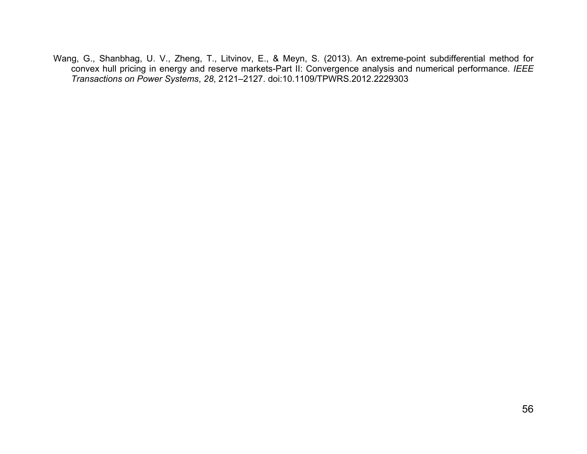Wang, G., Shanbhag, U. V., Zheng, T., Litvinov, E., & Meyn, S. (2013). An extreme-point subdifferential method for convex hull pricing in energy and reserve markets-Part II: Convergence analysis and numerical performance. *IEEE Transactions on Power Systems*, *28*, 2121–2127. doi:10.1109/TPWRS.2012.2229303